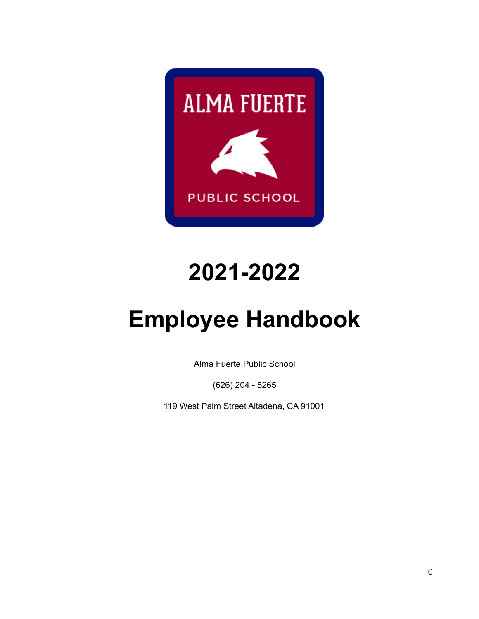

# **2021-2022**

# **Employee Handbook**

Alma Fuerte Public School

(626) 204 - 5265

119 West Palm Street Altadena, CA 91001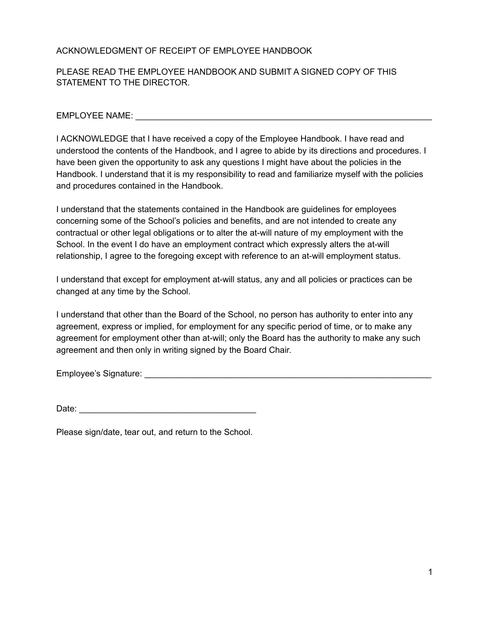#### ACKNOWLEDGMENT OF RECEIPT OF EMPLOYEE HANDBOOK

#### PLEASE READ THE EMPLOYEE HANDBOOK AND SUBMIT A SIGNED COPY OF THIS STATEMENT TO THE DIRECTOR.

EMPLOYEE NAME: **EMPLOYEE** NAME:

I ACKNOWLEDGE that I have received a copy of the Employee Handbook. I have read and understood the contents of the Handbook, and I agree to abide by its directions and procedures. I have been given the opportunity to ask any questions I might have about the policies in the Handbook. I understand that it is my responsibility to read and familiarize myself with the policies and procedures contained in the Handbook.

I understand that the statements contained in the Handbook are guidelines for employees concerning some of the School's policies and benefits, and are not intended to create any contractual or other legal obligations or to alter the at-will nature of my employment with the School. In the event I do have an employment contract which expressly alters the at-will relationship, I agree to the foregoing except with reference to an at-will employment status.

I understand that except for employment at-will status, any and all policies or practices can be changed at any time by the School.

I understand that other than the Board of the School, no person has authority to enter into any agreement, express or implied, for employment for any specific period of time, or to make any agreement for employment other than at-will; only the Board has the authority to make any such agreement and then only in writing signed by the Board Chair.

Employee's Signature: \_\_\_\_\_\_\_\_\_\_\_\_\_\_\_\_\_\_\_\_\_\_\_\_\_\_\_\_\_\_\_\_\_\_\_\_\_\_\_\_\_\_\_\_\_\_\_\_\_\_\_\_\_\_\_\_\_\_\_\_

| Date: |  |  |  |  |
|-------|--|--|--|--|
|       |  |  |  |  |

Please sign/date, tear out, and return to the School.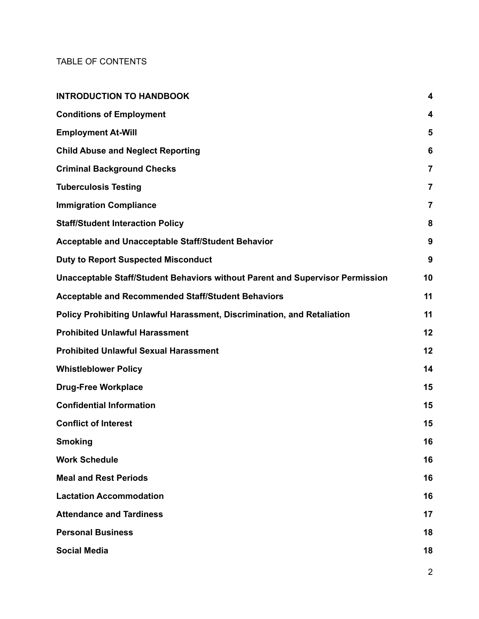#### TABLE OF CONTENTS

| <b>INTRODUCTION TO HANDBOOK</b>                                               | 4              |
|-------------------------------------------------------------------------------|----------------|
| <b>Conditions of Employment</b>                                               | 4              |
| <b>Employment At-Will</b>                                                     | 5              |
| <b>Child Abuse and Neglect Reporting</b>                                      | 6              |
| <b>Criminal Background Checks</b>                                             | $\overline{7}$ |
| <b>Tuberculosis Testing</b>                                                   | 7              |
| <b>Immigration Compliance</b>                                                 | 7              |
| <b>Staff/Student Interaction Policy</b>                                       | 8              |
| <b>Acceptable and Unacceptable Staff/Student Behavior</b>                     | 9              |
| <b>Duty to Report Suspected Misconduct</b>                                    | 9              |
| Unacceptable Staff/Student Behaviors without Parent and Supervisor Permission | 10             |
| <b>Acceptable and Recommended Staff/Student Behaviors</b>                     | 11             |
| Policy Prohibiting Unlawful Harassment, Discrimination, and Retaliation       | 11             |
| <b>Prohibited Unlawful Harassment</b>                                         | 12             |
| <b>Prohibited Unlawful Sexual Harassment</b>                                  | 12             |
| <b>Whistleblower Policy</b>                                                   | 14             |
| <b>Drug-Free Workplace</b>                                                    | 15             |
| <b>Confidential Information</b>                                               | 15             |
| <b>Conflict of Interest</b>                                                   | 15             |
| <b>Smoking</b>                                                                | 16             |
| <b>Work Schedule</b>                                                          | 16             |
| <b>Meal and Rest Periods</b>                                                  | 16             |
| <b>Lactation Accommodation</b>                                                | 16             |
| <b>Attendance and Tardiness</b>                                               | 17             |
| <b>Personal Business</b>                                                      | 18             |
| <b>Social Media</b>                                                           | 18             |
|                                                                               |                |

2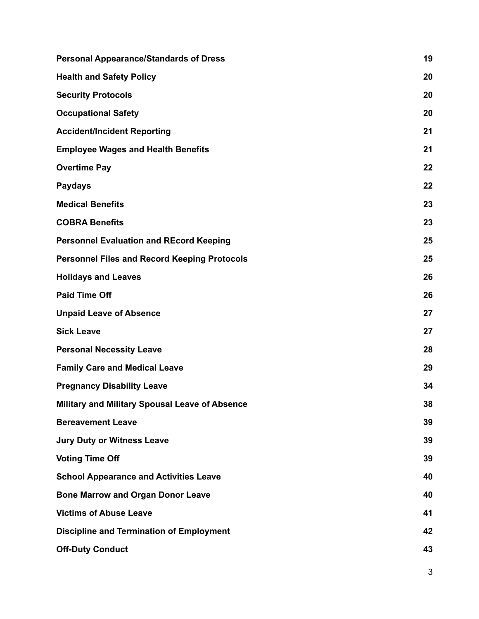| <b>Personal Appearance/Standards of Dress</b>       | 19 |
|-----------------------------------------------------|----|
| <b>Health and Safety Policy</b>                     | 20 |
| <b>Security Protocols</b>                           | 20 |
| <b>Occupational Safety</b>                          | 20 |
| <b>Accident/Incident Reporting</b>                  | 21 |
| <b>Employee Wages and Health Benefits</b>           | 21 |
| <b>Overtime Pay</b>                                 | 22 |
| <b>Paydays</b>                                      | 22 |
| <b>Medical Benefits</b>                             | 23 |
| <b>COBRA Benefits</b>                               | 23 |
| <b>Personnel Evaluation and REcord Keeping</b>      | 25 |
| <b>Personnel Files and Record Keeping Protocols</b> | 25 |
| <b>Holidays and Leaves</b>                          | 26 |
| <b>Paid Time Off</b>                                | 26 |
| <b>Unpaid Leave of Absence</b>                      | 27 |
| <b>Sick Leave</b>                                   | 27 |
| <b>Personal Necessity Leave</b>                     | 28 |
| <b>Family Care and Medical Leave</b>                | 29 |
| <b>Pregnancy Disability Leave</b>                   | 34 |
| Military and Military Spousal Leave of Absence      | 38 |
| <b>Bereavement Leave</b>                            | 39 |
| <b>Jury Duty or Witness Leave</b>                   | 39 |
| <b>Voting Time Off</b>                              | 39 |
| <b>School Appearance and Activities Leave</b>       | 40 |
| <b>Bone Marrow and Organ Donor Leave</b>            | 40 |
| <b>Victims of Abuse Leave</b>                       | 41 |
| <b>Discipline and Termination of Employment</b>     | 42 |
| <b>Off-Duty Conduct</b>                             | 43 |
|                                                     |    |

3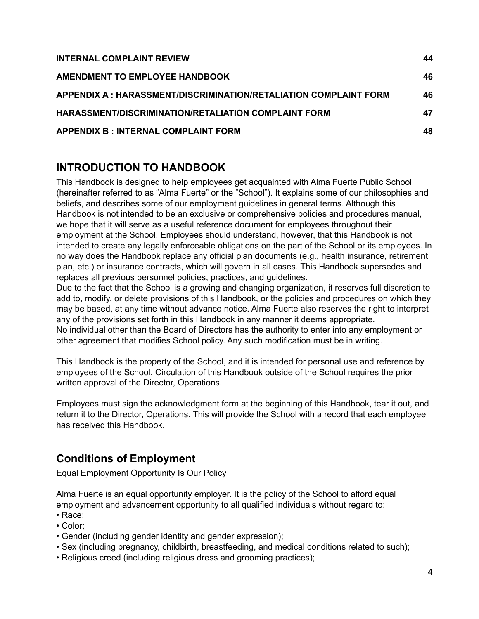| <b>INTERNAL COMPLAINT REVIEW</b>                                  | 44 |
|-------------------------------------------------------------------|----|
| AMENDMENT TO EMPLOYEE HANDBOOK                                    | 46 |
| APPENDIX A : HARASSMENT/DISCRIMINATION/RETALIATION COMPLAINT FORM | 46 |
| <b>HARASSMENT/DISCRIMINATION/RETALIATION COMPLAINT FORM</b>       | 47 |
| <b>APPENDIX B : INTERNAL COMPLAINT FORM</b>                       | 48 |

# <span id="page-4-0"></span>**INTRODUCTION TO HANDBOOK**

This Handbook is designed to help employees get acquainted with Alma Fuerte Public School (hereinafter referred to as "Alma Fuerte" or the "School"). It explains some of our philosophies and beliefs, and describes some of our employment guidelines in general terms. Although this Handbook is not intended to be an exclusive or comprehensive policies and procedures manual, we hope that it will serve as a useful reference document for employees throughout their employment at the School. Employees should understand, however, that this Handbook is not intended to create any legally enforceable obligations on the part of the School or its employees. In no way does the Handbook replace any official plan documents (e.g., health insurance, retirement plan, etc.) or insurance contracts, which will govern in all cases. This Handbook supersedes and replaces all previous personnel policies, practices, and guidelines.

Due to the fact that the School is a growing and changing organization, it reserves full discretion to add to, modify, or delete provisions of this Handbook, or the policies and procedures on which they may be based, at any time without advance notice. Alma Fuerte also reserves the right to interpret any of the provisions set forth in this Handbook in any manner it deems appropriate. No individual other than the Board of Directors has the authority to enter into any employment or other agreement that modifies School policy. Any such modification must be in writing.

This Handbook is the property of the School, and it is intended for personal use and reference by employees of the School. Circulation of this Handbook outside of the School requires the prior written approval of the Director, Operations.

Employees must sign the acknowledgment form at the beginning of this Handbook, tear it out, and return it to the Director, Operations. This will provide the School with a record that each employee has received this Handbook.

# <span id="page-4-1"></span>**Conditions of Employment**

Equal Employment Opportunity Is Our Policy

Alma Fuerte is an equal opportunity employer. It is the policy of the School to afford equal employment and advancement opportunity to all qualified individuals without regard to:

- Race;
- Color;
- Gender (including gender identity and gender expression);
- Sex (including pregnancy, childbirth, breastfeeding, and medical conditions related to such);
- Religious creed (including religious dress and grooming practices);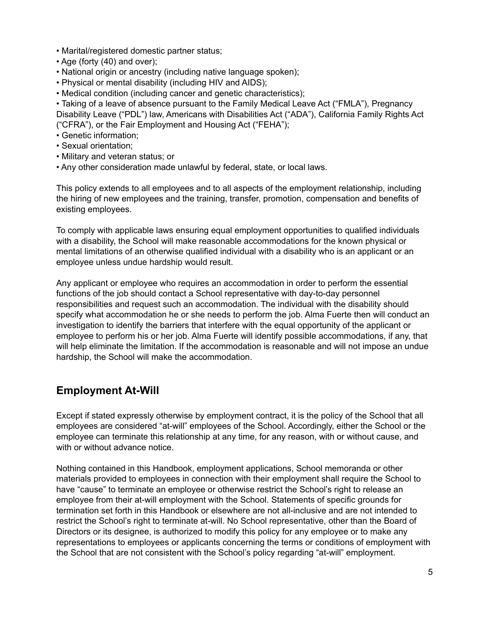- Marital/registered domestic partner status;
- Age (forty (40) and over);
- National origin or ancestry (including native language spoken);
- Physical or mental disability (including HIV and AIDS);
- Medical condition (including cancer and genetic characteristics);
- Taking of a leave of absence pursuant to the Family Medical Leave Act ("FMLA"), Pregnancy Disability Leave ("PDL") law, Americans with Disabilities Act ("ADA"), California Family Rights Act ("CFRA"), or the Fair Employment and Housing Act ("FEHA");
- Genetic information;
- Sexual orientation;
- Military and veteran status; or
- Any other consideration made unlawful by federal, state, or local laws.

This policy extends to all employees and to all aspects of the employment relationship, including the hiring of new employees and the training, transfer, promotion, compensation and benefits of existing employees.

To comply with applicable laws ensuring equal employment opportunities to qualified individuals with a disability, the School will make reasonable accommodations for the known physical or mental limitations of an otherwise qualified individual with a disability who is an applicant or an employee unless undue hardship would result.

Any applicant or employee who requires an accommodation in order to perform the essential functions of the job should contact a School representative with day-to-day personnel responsibilities and request such an accommodation. The individual with the disability should specify what accommodation he or she needs to perform the job. Alma Fuerte then will conduct an investigation to identify the barriers that interfere with the equal opportunity of the applicant or employee to perform his or her job. Alma Fuerte will identify possible accommodations, if any, that will help eliminate the limitation. If the accommodation is reasonable and will not impose an undue hardship, the School will make the accommodation.

## <span id="page-5-0"></span>**Employment At-Will**

Except if stated expressly otherwise by employment contract, it is the policy of the School that all employees are considered "at-will" employees of the School. Accordingly, either the School or the employee can terminate this relationship at any time, for any reason, with or without cause, and with or without advance notice.

Nothing contained in this Handbook, employment applications, School memoranda or other materials provided to employees in connection with their employment shall require the School to have "cause" to terminate an employee or otherwise restrict the School's right to release an employee from their at-will employment with the School. Statements of specific grounds for termination set forth in this Handbook or elsewhere are not all-inclusive and are not intended to restrict the School's right to terminate at-will. No School representative, other than the Board of Directors or its designee, is authorized to modify this policy for any employee or to make any representations to employees or applicants concerning the terms or conditions of employment with the School that are not consistent with the School's policy regarding "at-will" employment.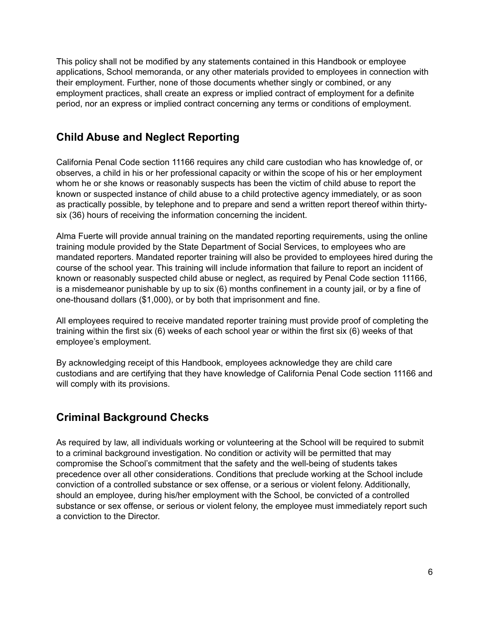This policy shall not be modified by any statements contained in this Handbook or employee applications, School memoranda, or any other materials provided to employees in connection with their employment. Further, none of those documents whether singly or combined, or any employment practices, shall create an express or implied contract of employment for a definite period, nor an express or implied contract concerning any terms or conditions of employment.

## <span id="page-6-0"></span>**Child Abuse and Neglect Reporting**

California Penal Code section 11166 requires any child care custodian who has knowledge of, or observes, a child in his or her professional capacity or within the scope of his or her employment whom he or she knows or reasonably suspects has been the victim of child abuse to report the known or suspected instance of child abuse to a child protective agency immediately, or as soon as practically possible, by telephone and to prepare and send a written report thereof within thirtysix (36) hours of receiving the information concerning the incident.

Alma Fuerte will provide annual training on the mandated reporting requirements, using the online training module provided by the State Department of Social Services, to employees who are mandated reporters. Mandated reporter training will also be provided to employees hired during the course of the school year. This training will include information that failure to report an incident of known or reasonably suspected child abuse or neglect, as required by Penal Code section 11166, is a misdemeanor punishable by up to six (6) months confinement in a county jail, or by a fine of one-thousand dollars (\$1,000), or by both that imprisonment and fine.

All employees required to receive mandated reporter training must provide proof of completing the training within the first six (6) weeks of each school year or within the first six (6) weeks of that employee's employment.

By acknowledging receipt of this Handbook, employees acknowledge they are child care custodians and are certifying that they have knowledge of California Penal Code section 11166 and will comply with its provisions.

# <span id="page-6-1"></span>**Criminal Background Checks**

As required by law, all individuals working or volunteering at the School will be required to submit to a criminal background investigation. No condition or activity will be permitted that may compromise the School's commitment that the safety and the well-being of students takes precedence over all other considerations. Conditions that preclude working at the School include conviction of a controlled substance or sex offense, or a serious or violent felony. Additionally, should an employee, during his/her employment with the School, be convicted of a controlled substance or sex offense, or serious or violent felony, the employee must immediately report such a conviction to the Director.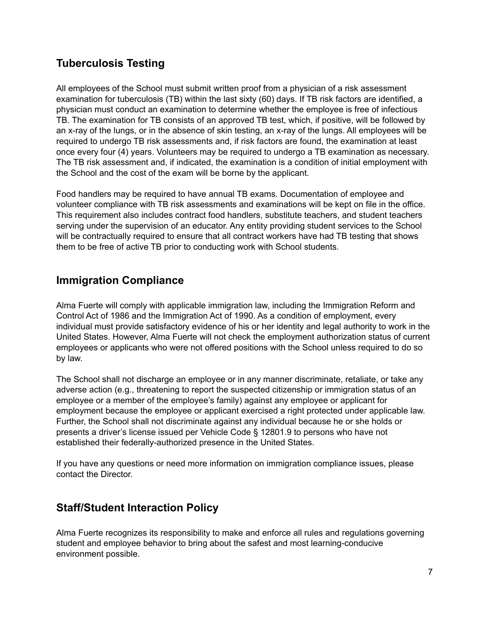# <span id="page-7-0"></span>**Tuberculosis Testing**

All employees of the School must submit written proof from a physician of a risk assessment examination for tuberculosis (TB) within the last sixty (60) days. If TB risk factors are identified, a physician must conduct an examination to determine whether the employee is free of infectious TB. The examination for TB consists of an approved TB test, which, if positive, will be followed by an x-ray of the lungs, or in the absence of skin testing, an x-ray of the lungs. All employees will be required to undergo TB risk assessments and, if risk factors are found, the examination at least once every four (4) years. Volunteers may be required to undergo a TB examination as necessary. The TB risk assessment and, if indicated, the examination is a condition of initial employment with the School and the cost of the exam will be borne by the applicant.

Food handlers may be required to have annual TB exams. Documentation of employee and volunteer compliance with TB risk assessments and examinations will be kept on file in the office. This requirement also includes contract food handlers, substitute teachers, and student teachers serving under the supervision of an educator. Any entity providing student services to the School will be contractually required to ensure that all contract workers have had TB testing that shows them to be free of active TB prior to conducting work with School students.

# <span id="page-7-1"></span>**Immigration Compliance**

Alma Fuerte will comply with applicable immigration law, including the Immigration Reform and Control Act of 1986 and the Immigration Act of 1990. As a condition of employment, every individual must provide satisfactory evidence of his or her identity and legal authority to work in the United States. However, Alma Fuerte will not check the employment authorization status of current employees or applicants who were not offered positions with the School unless required to do so by law.

The School shall not discharge an employee or in any manner discriminate, retaliate, or take any adverse action (e.g., threatening to report the suspected citizenship or immigration status of an employee or a member of the employee's family) against any employee or applicant for employment because the employee or applicant exercised a right protected under applicable law. Further, the School shall not discriminate against any individual because he or she holds or presents a driver's license issued per Vehicle Code § 12801.9 to persons who have not established their federally-authorized presence in the United States.

If you have any questions or need more information on immigration compliance issues, please contact the Director.

## <span id="page-7-2"></span>**Staff/Student Interaction Policy**

Alma Fuerte recognizes its responsibility to make and enforce all rules and regulations governing student and employee behavior to bring about the safest and most learning-conducive environment possible.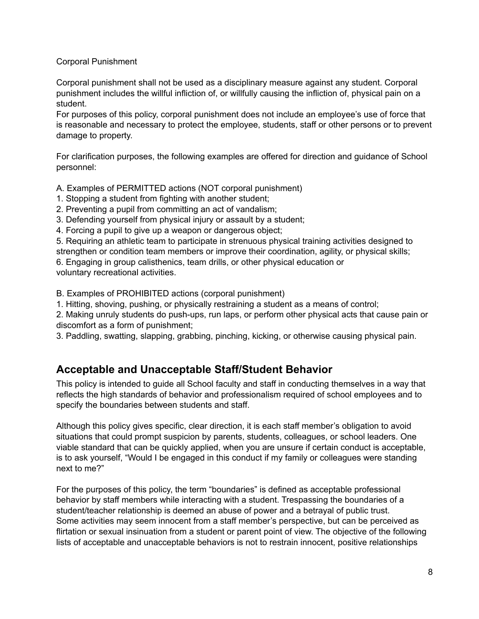#### Corporal Punishment

Corporal punishment shall not be used as a disciplinary measure against any student. Corporal punishment includes the willful infliction of, or willfully causing the infliction of, physical pain on a student.

For purposes of this policy, corporal punishment does not include an employee's use of force that is reasonable and necessary to protect the employee, students, staff or other persons or to prevent damage to property.

For clarification purposes, the following examples are offered for direction and guidance of School personnel:

A. Examples of PERMITTED actions (NOT corporal punishment)

- 1. Stopping a student from fighting with another student;
- 2. Preventing a pupil from committing an act of vandalism;
- 3. Defending yourself from physical injury or assault by a student;
- 4. Forcing a pupil to give up a weapon or dangerous object;

5. Requiring an athletic team to participate in strenuous physical training activities designed to strengthen or condition team members or improve their coordination, agility, or physical skills;

6. Engaging in group calisthenics, team drills, or other physical education or voluntary recreational activities.

B. Examples of PROHIBITED actions (corporal punishment)

1. Hitting, shoving, pushing, or physically restraining a student as a means of control;

2. Making unruly students do push-ups, run laps, or perform other physical acts that cause pain or discomfort as a form of punishment;

3. Paddling, swatting, slapping, grabbing, pinching, kicking, or otherwise causing physical pain.

## <span id="page-8-0"></span>**Acceptable and Unacceptable Staff/Student Behavior**

This policy is intended to guide all School faculty and staff in conducting themselves in a way that reflects the high standards of behavior and professionalism required of school employees and to specify the boundaries between students and staff.

Although this policy gives specific, clear direction, it is each staff member's obligation to avoid situations that could prompt suspicion by parents, students, colleagues, or school leaders. One viable standard that can be quickly applied, when you are unsure if certain conduct is acceptable, is to ask yourself, "Would I be engaged in this conduct if my family or colleagues were standing next to me?"

For the purposes of this policy, the term "boundaries" is defined as acceptable professional behavior by staff members while interacting with a student. Trespassing the boundaries of a student/teacher relationship is deemed an abuse of power and a betrayal of public trust. Some activities may seem innocent from a staff member's perspective, but can be perceived as flirtation or sexual insinuation from a student or parent point of view. The objective of the following lists of acceptable and unacceptable behaviors is not to restrain innocent, positive relationships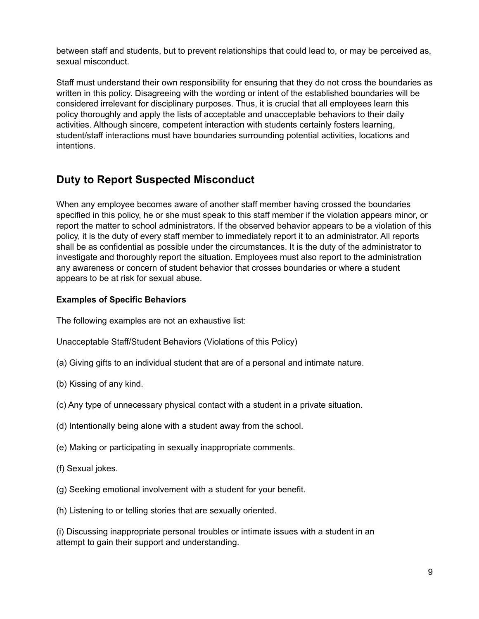between staff and students, but to prevent relationships that could lead to, or may be perceived as, sexual misconduct.

Staff must understand their own responsibility for ensuring that they do not cross the boundaries as written in this policy. Disagreeing with the wording or intent of the established boundaries will be considered irrelevant for disciplinary purposes. Thus, it is crucial that all employees learn this policy thoroughly and apply the lists of acceptable and unacceptable behaviors to their daily activities. Although sincere, competent interaction with students certainly fosters learning, student/staff interactions must have boundaries surrounding potential activities, locations and intentions.

# <span id="page-9-0"></span>**Duty to Report Suspected Misconduct**

When any employee becomes aware of another staff member having crossed the boundaries specified in this policy, he or she must speak to this staff member if the violation appears minor, or report the matter to school administrators. If the observed behavior appears to be a violation of this policy, it is the duty of every staff member to immediately report it to an administrator. All reports shall be as confidential as possible under the circumstances. It is the duty of the administrator to investigate and thoroughly report the situation. Employees must also report to the administration any awareness or concern of student behavior that crosses boundaries or where a student appears to be at risk for sexual abuse.

#### **Examples of Specific Behaviors**

The following examples are not an exhaustive list:

Unacceptable Staff/Student Behaviors (Violations of this Policy)

- (a) Giving gifts to an individual student that are of a personal and intimate nature.
- (b) Kissing of any kind.
- (c) Any type of unnecessary physical contact with a student in a private situation.
- (d) Intentionally being alone with a student away from the school.
- (e) Making or participating in sexually inappropriate comments.
- (f) Sexual jokes.
- (g) Seeking emotional involvement with a student for your benefit.
- (h) Listening to or telling stories that are sexually oriented.

(i) Discussing inappropriate personal troubles or intimate issues with a student in an attempt to gain their support and understanding.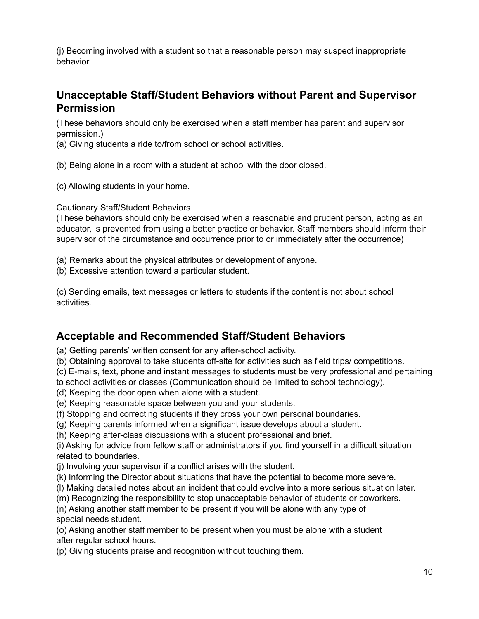(j) Becoming involved with a student so that a reasonable person may suspect inappropriate behavior.

## <span id="page-10-0"></span>**Unacceptable Staff/Student Behaviors without Parent and Supervisor Permission**

(These behaviors should only be exercised when a staff member has parent and supervisor permission.)

(a) Giving students a ride to/from school or school activities.

(b) Being alone in a room with a student at school with the door closed.

(c) Allowing students in your home.

Cautionary Staff/Student Behaviors

(These behaviors should only be exercised when a reasonable and prudent person, acting as an educator, is prevented from using a better practice or behavior. Staff members should inform their supervisor of the circumstance and occurrence prior to or immediately after the occurrence)

(a) Remarks about the physical attributes or development of anyone.

(b) Excessive attention toward a particular student.

(c) Sending emails, text messages or letters to students if the content is not about school activities.

## <span id="page-10-1"></span>**Acceptable and Recommended Staff/Student Behaviors**

(a) Getting parents' written consent for any after-school activity.

(b) Obtaining approval to take students off-site for activities such as field trips/ competitions.

(c) E-mails, text, phone and instant messages to students must be very professional and pertaining

to school activities or classes (Communication should be limited to school technology).

(d) Keeping the door open when alone with a student.

(e) Keeping reasonable space between you and your students.

(f) Stopping and correcting students if they cross your own personal boundaries.

(g) Keeping parents informed when a significant issue develops about a student.

(h) Keeping after-class discussions with a student professional and brief.

(i) Asking for advice from fellow staff or administrators if you find yourself in a difficult situation related to boundaries.

(j) Involving your supervisor if a conflict arises with the student.

- (k) Informing the Director about situations that have the potential to become more severe.
- (l) Making detailed notes about an incident that could evolve into a more serious situation later.

(m) Recognizing the responsibility to stop unacceptable behavior of students or coworkers.

(n) Asking another staff member to be present if you will be alone with any type of special needs student.

(o) Asking another staff member to be present when you must be alone with a student after regular school hours.

(p) Giving students praise and recognition without touching them.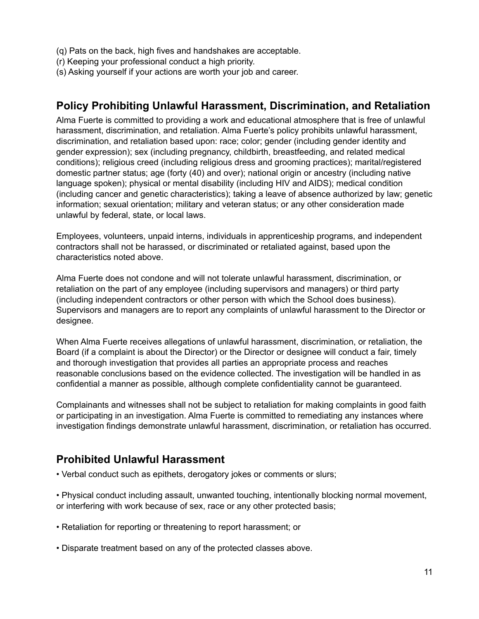- (q) Pats on the back, high fives and handshakes are acceptable.
- (r) Keeping your professional conduct a high priority.
- (s) Asking yourself if your actions are worth your job and career.

## <span id="page-11-0"></span>**Policy Prohibiting Unlawful Harassment, Discrimination, and Retaliation**

Alma Fuerte is committed to providing a work and educational atmosphere that is free of unlawful harassment, discrimination, and retaliation. Alma Fuerte's policy prohibits unlawful harassment, discrimination, and retaliation based upon: race; color; gender (including gender identity and gender expression); sex (including pregnancy, childbirth, breastfeeding, and related medical conditions); religious creed (including religious dress and grooming practices); marital/registered domestic partner status; age (forty (40) and over); national origin or ancestry (including native language spoken); physical or mental disability (including HIV and AIDS); medical condition (including cancer and genetic characteristics); taking a leave of absence authorized by law; genetic information; sexual orientation; military and veteran status; or any other consideration made unlawful by federal, state, or local laws.

Employees, volunteers, unpaid interns, individuals in apprenticeship programs, and independent contractors shall not be harassed, or discriminated or retaliated against, based upon the characteristics noted above.

Alma Fuerte does not condone and will not tolerate unlawful harassment, discrimination, or retaliation on the part of any employee (including supervisors and managers) or third party (including independent contractors or other person with which the School does business). Supervisors and managers are to report any complaints of unlawful harassment to the Director or designee.

When Alma Fuerte receives allegations of unlawful harassment, discrimination, or retaliation, the Board (if a complaint is about the Director) or the Director or designee will conduct a fair, timely and thorough investigation that provides all parties an appropriate process and reaches reasonable conclusions based on the evidence collected. The investigation will be handled in as confidential a manner as possible, although complete confidentiality cannot be guaranteed.

Complainants and witnesses shall not be subject to retaliation for making complaints in good faith or participating in an investigation. Alma Fuerte is committed to remediating any instances where investigation findings demonstrate unlawful harassment, discrimination, or retaliation has occurred.

## <span id="page-11-1"></span>**Prohibited Unlawful Harassment**

• Verbal conduct such as epithets, derogatory jokes or comments or slurs;

• Physical conduct including assault, unwanted touching, intentionally blocking normal movement, or interfering with work because of sex, race or any other protected basis;

- Retaliation for reporting or threatening to report harassment; or
- Disparate treatment based on any of the protected classes above.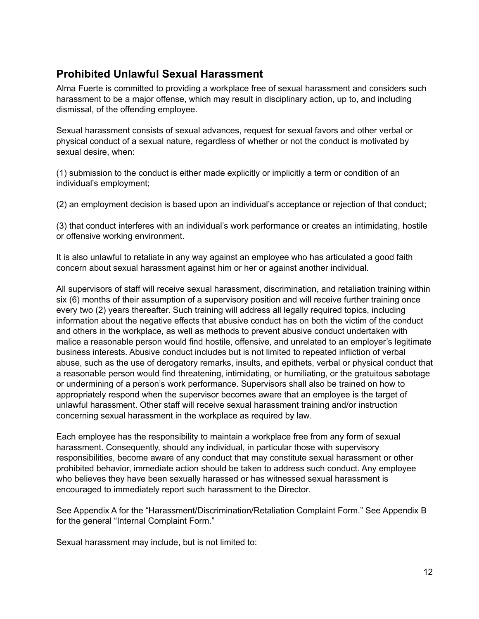# <span id="page-12-0"></span>**Prohibited Unlawful Sexual Harassment**

Alma Fuerte is committed to providing a workplace free of sexual harassment and considers such harassment to be a major offense, which may result in disciplinary action, up to, and including dismissal, of the offending employee.

Sexual harassment consists of sexual advances, request for sexual favors and other verbal or physical conduct of a sexual nature, regardless of whether or not the conduct is motivated by sexual desire, when:

(1) submission to the conduct is either made explicitly or implicitly a term or condition of an individual's employment;

(2) an employment decision is based upon an individual's acceptance or rejection of that conduct;

(3) that conduct interferes with an individual's work performance or creates an intimidating, hostile or offensive working environment.

It is also unlawful to retaliate in any way against an employee who has articulated a good faith concern about sexual harassment against him or her or against another individual.

All supervisors of staff will receive sexual harassment, discrimination, and retaliation training within six (6) months of their assumption of a supervisory position and will receive further training once every two (2) years thereafter. Such training will address all legally required topics, including information about the negative effects that abusive conduct has on both the victim of the conduct and others in the workplace, as well as methods to prevent abusive conduct undertaken with malice a reasonable person would find hostile, offensive, and unrelated to an employer's legitimate business interests. Abusive conduct includes but is not limited to repeated infliction of verbal abuse, such as the use of derogatory remarks, insults, and epithets, verbal or physical conduct that a reasonable person would find threatening, intimidating, or humiliating, or the gratuitous sabotage or undermining of a person's work performance. Supervisors shall also be trained on how to appropriately respond when the supervisor becomes aware that an employee is the target of unlawful harassment. Other staff will receive sexual harassment training and/or instruction concerning sexual harassment in the workplace as required by law.

Each employee has the responsibility to maintain a workplace free from any form of sexual harassment. Consequently, should any individual, in particular those with supervisory responsibilities, become aware of any conduct that may constitute sexual harassment or other prohibited behavior, immediate action should be taken to address such conduct. Any employee who believes they have been sexually harassed or has witnessed sexual harassment is encouraged to immediately report such harassment to the Director.

See Appendix A for the "Harassment/Discrimination/Retaliation Complaint Form." See Appendix B for the general "Internal Complaint Form."

Sexual harassment may include, but is not limited to: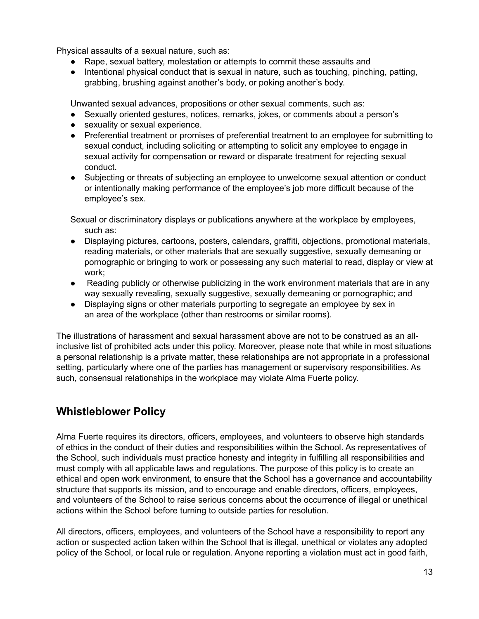Physical assaults of a sexual nature, such as:

- Rape, sexual battery, molestation or attempts to commit these assaults and
- Intentional physical conduct that is sexual in nature, such as touching, pinching, patting, grabbing, brushing against another's body, or poking another's body.

Unwanted sexual advances, propositions or other sexual comments, such as:

- Sexually oriented gestures, notices, remarks, jokes, or comments about a person's
- sexuality or sexual experience.
- Preferential treatment or promises of preferential treatment to an employee for submitting to sexual conduct, including soliciting or attempting to solicit any employee to engage in sexual activity for compensation or reward or disparate treatment for rejecting sexual conduct.
- Subjecting or threats of subjecting an employee to unwelcome sexual attention or conduct or intentionally making performance of the employee's job more difficult because of the employee's sex.

Sexual or discriminatory displays or publications anywhere at the workplace by employees, such as:

- Displaying pictures, cartoons, posters, calendars, graffiti, objections, promotional materials, reading materials, or other materials that are sexually suggestive, sexually demeaning or pornographic or bringing to work or possessing any such material to read, display or view at work;
- Reading publicly or otherwise publicizing in the work environment materials that are in any way sexually revealing, sexually suggestive, sexually demeaning or pornographic; and
- Displaying signs or other materials purporting to segregate an employee by sex in an area of the workplace (other than restrooms or similar rooms).

The illustrations of harassment and sexual harassment above are not to be construed as an allinclusive list of prohibited acts under this policy. Moreover, please note that while in most situations a personal relationship is a private matter, these relationships are not appropriate in a professional setting, particularly where one of the parties has management or supervisory responsibilities. As such, consensual relationships in the workplace may violate Alma Fuerte policy.

# <span id="page-13-0"></span>**Whistleblower Policy**

Alma Fuerte requires its directors, officers, employees, and volunteers to observe high standards of ethics in the conduct of their duties and responsibilities within the School. As representatives of the School, such individuals must practice honesty and integrity in fulfilling all responsibilities and must comply with all applicable laws and regulations. The purpose of this policy is to create an ethical and open work environment, to ensure that the School has a governance and accountability structure that supports its mission, and to encourage and enable directors, officers, employees, and volunteers of the School to raise serious concerns about the occurrence of illegal or unethical actions within the School before turning to outside parties for resolution.

All directors, officers, employees, and volunteers of the School have a responsibility to report any action or suspected action taken within the School that is illegal, unethical or violates any adopted policy of the School, or local rule or regulation. Anyone reporting a violation must act in good faith,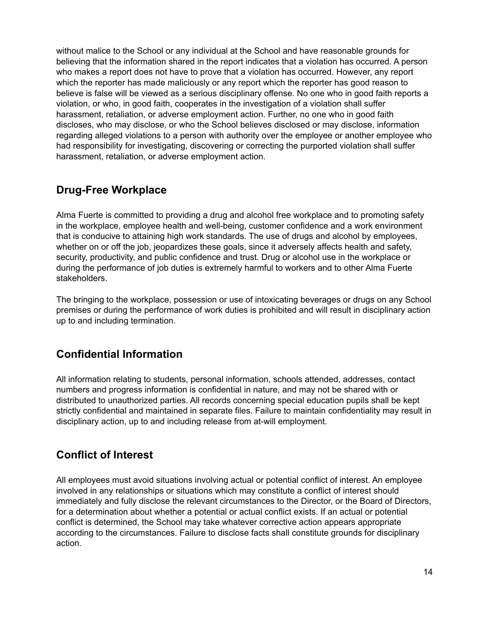without malice to the School or any individual at the School and have reasonable grounds for believing that the information shared in the report indicates that a violation has occurred. A person who makes a report does not have to prove that a violation has occurred. However, any report which the reporter has made maliciously or any report which the reporter has good reason to believe is false will be viewed as a serious disciplinary offense. No one who in good faith reports a violation, or who, in good faith, cooperates in the investigation of a violation shall suffer harassment, retaliation, or adverse employment action. Further, no one who in good faith discloses, who may disclose, or who the School believes disclosed or may disclose, information regarding alleged violations to a person with authority over the employee or another employee who had responsibility for investigating, discovering or correcting the purported violation shall suffer harassment, retaliation, or adverse employment action.

# <span id="page-14-0"></span>**Drug-Free Workplace**

Alma Fuerte is committed to providing a drug and alcohol free workplace and to promoting safety in the workplace, employee health and well-being, customer confidence and a work environment that is conducive to attaining high work standards. The use of drugs and alcohol by employees, whether on or off the job, jeopardizes these goals, since it adversely affects health and safety, security, productivity, and public confidence and trust. Drug or alcohol use in the workplace or during the performance of job duties is extremely harmful to workers and to other Alma Fuerte stakeholders.

The bringing to the workplace, possession or use of intoxicating beverages or drugs on any School premises or during the performance of work duties is prohibited and will result in disciplinary action up to and including termination.

# <span id="page-14-1"></span>**Confidential Information**

All information relating to students, personal information, schools attended, addresses, contact numbers and progress information is confidential in nature, and may not be shared with or distributed to unauthorized parties. All records concerning special education pupils shall be kept strictly confidential and maintained in separate files. Failure to maintain confidentiality may result in disciplinary action, up to and including release from at-will employment.

# <span id="page-14-2"></span>**Conflict of Interest**

All employees must avoid situations involving actual or potential conflict of interest. An employee involved in any relationships or situations which may constitute a conflict of interest should immediately and fully disclose the relevant circumstances to the Director, or the Board of Directors, for a determination about whether a potential or actual conflict exists. If an actual or potential conflict is determined, the School may take whatever corrective action appears appropriate according to the circumstances. Failure to disclose facts shall constitute grounds for disciplinary action.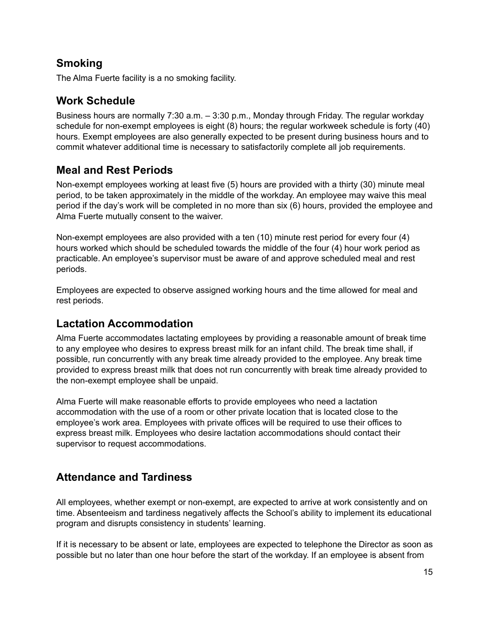# <span id="page-15-0"></span>**Smoking**

<span id="page-15-1"></span>The Alma Fuerte facility is a no smoking facility.

## **Work Schedule**

Business hours are normally 7:30 a.m. – 3:30 p.m., Monday through Friday. The regular workday schedule for non-exempt employees is eight (8) hours; the regular workweek schedule is forty (40) hours. Exempt employees are also generally expected to be present during business hours and to commit whatever additional time is necessary to satisfactorily complete all job requirements.

## <span id="page-15-2"></span>**Meal and Rest Periods**

Non-exempt employees working at least five (5) hours are provided with a thirty (30) minute meal period, to be taken approximately in the middle of the workday. An employee may waive this meal period if the day's work will be completed in no more than six (6) hours, provided the employee and Alma Fuerte mutually consent to the waiver.

Non-exempt employees are also provided with a ten (10) minute rest period for every four (4) hours worked which should be scheduled towards the middle of the four (4) hour work period as practicable. An employee's supervisor must be aware of and approve scheduled meal and rest periods.

Employees are expected to observe assigned working hours and the time allowed for meal and rest periods.

## <span id="page-15-3"></span>**Lactation Accommodation**

Alma Fuerte accommodates lactating employees by providing a reasonable amount of break time to any employee who desires to express breast milk for an infant child. The break time shall, if possible, run concurrently with any break time already provided to the employee. Any break time provided to express breast milk that does not run concurrently with break time already provided to the non-exempt employee shall be unpaid.

Alma Fuerte will make reasonable efforts to provide employees who need a lactation accommodation with the use of a room or other private location that is located close to the employee's work area. Employees with private offices will be required to use their offices to express breast milk. Employees who desire lactation accommodations should contact their supervisor to request accommodations.

# <span id="page-15-4"></span>**Attendance and Tardiness**

All employees, whether exempt or non-exempt, are expected to arrive at work consistently and on time. Absenteeism and tardiness negatively affects the School's ability to implement its educational program and disrupts consistency in students' learning.

If it is necessary to be absent or late, employees are expected to telephone the Director as soon as possible but no later than one hour before the start of the workday. If an employee is absent from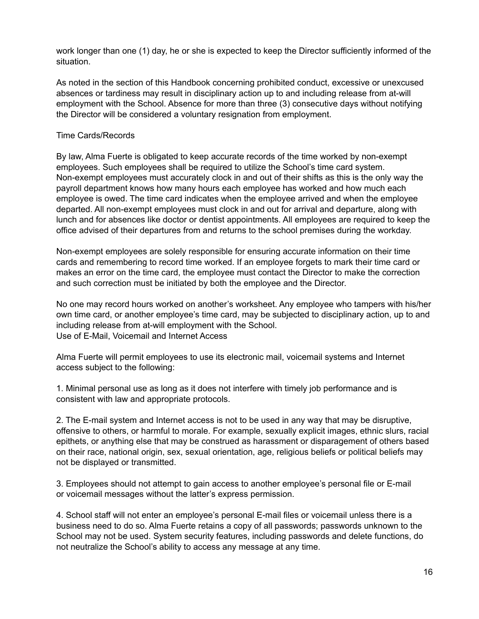work longer than one (1) day, he or she is expected to keep the Director sufficiently informed of the situation.

As noted in the section of this Handbook concerning prohibited conduct, excessive or unexcused absences or tardiness may result in disciplinary action up to and including release from at-will employment with the School. Absence for more than three (3) consecutive days without notifying the Director will be considered a voluntary resignation from employment.

#### Time Cards/Records

By law, Alma Fuerte is obligated to keep accurate records of the time worked by non-exempt employees. Such employees shall be required to utilize the School's time card system. Non-exempt employees must accurately clock in and out of their shifts as this is the only way the payroll department knows how many hours each employee has worked and how much each employee is owed. The time card indicates when the employee arrived and when the employee departed. All non-exempt employees must clock in and out for arrival and departure, along with lunch and for absences like doctor or dentist appointments. All employees are required to keep the office advised of their departures from and returns to the school premises during the workday.

Non-exempt employees are solely responsible for ensuring accurate information on their time cards and remembering to record time worked. If an employee forgets to mark their time card or makes an error on the time card, the employee must contact the Director to make the correction and such correction must be initiated by both the employee and the Director.

No one may record hours worked on another's worksheet. Any employee who tampers with his/her own time card, or another employee's time card, may be subjected to disciplinary action, up to and including release from at-will employment with the School. Use of E-Mail, Voicemail and Internet Access

Alma Fuerte will permit employees to use its electronic mail, voicemail systems and Internet access subject to the following:

1. Minimal personal use as long as it does not interfere with timely job performance and is consistent with law and appropriate protocols.

2. The E-mail system and Internet access is not to be used in any way that may be disruptive, offensive to others, or harmful to morale. For example, sexually explicit images, ethnic slurs, racial epithets, or anything else that may be construed as harassment or disparagement of others based on their race, national origin, sex, sexual orientation, age, religious beliefs or political beliefs may not be displayed or transmitted.

3. Employees should not attempt to gain access to another employee's personal file or E-mail or voicemail messages without the latter's express permission.

4. School staff will not enter an employee's personal E-mail files or voicemail unless there is a business need to do so. Alma Fuerte retains a copy of all passwords; passwords unknown to the School may not be used. System security features, including passwords and delete functions, do not neutralize the School's ability to access any message at any time.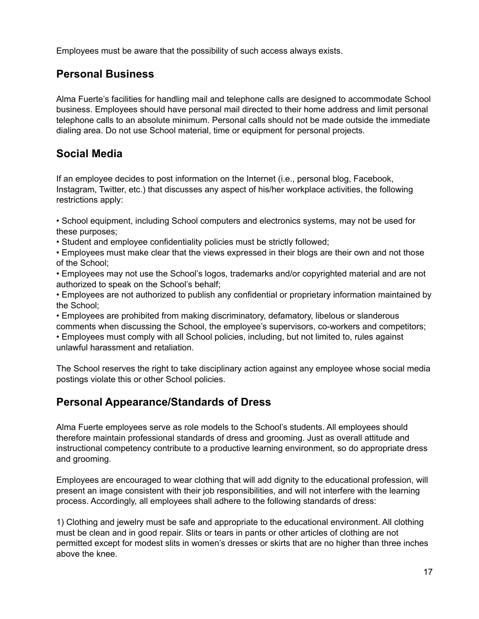<span id="page-17-0"></span>Employees must be aware that the possibility of such access always exists.

# **Personal Business**

Alma Fuerte's facilities for handling mail and telephone calls are designed to accommodate School business. Employees should have personal mail directed to their home address and limit personal telephone calls to an absolute minimum. Personal calls should not be made outside the immediate dialing area. Do not use School material, time or equipment for personal projects.

# <span id="page-17-1"></span>**Social Media**

If an employee decides to post information on the Internet (i.e., personal blog, Facebook, Instagram, Twitter, etc.) that discusses any aspect of his/her workplace activities, the following restrictions apply:

• School equipment, including School computers and electronics systems, may not be used for these purposes;

• Student and employee confidentiality policies must be strictly followed;

• Employees must make clear that the views expressed in their blogs are their own and not those of the School;

• Employees may not use the School's logos, trademarks and/or copyrighted material and are not authorized to speak on the School's behalf;

• Employees are not authorized to publish any confidential or proprietary information maintained by the School;

• Employees are prohibited from making discriminatory, defamatory, libelous or slanderous comments when discussing the School, the employee's supervisors, co-workers and competitors;

• Employees must comply with all School policies, including, but not limited to, rules against unlawful harassment and retaliation.

The School reserves the right to take disciplinary action against any employee whose social media postings violate this or other School policies.

# <span id="page-17-2"></span>**Personal Appearance/Standards of Dress**

Alma Fuerte employees serve as role models to the School's students. All employees should therefore maintain professional standards of dress and grooming. Just as overall attitude and instructional competency contribute to a productive learning environment, so do appropriate dress and grooming.

Employees are encouraged to wear clothing that will add dignity to the educational profession, will present an image consistent with their job responsibilities, and will not interfere with the learning process. Accordingly, all employees shall adhere to the following standards of dress:

1) Clothing and jewelry must be safe and appropriate to the educational environment. All clothing must be clean and in good repair. Slits or tears in pants or other articles of clothing are not permitted except for modest slits in women's dresses or skirts that are no higher than three inches above the knee.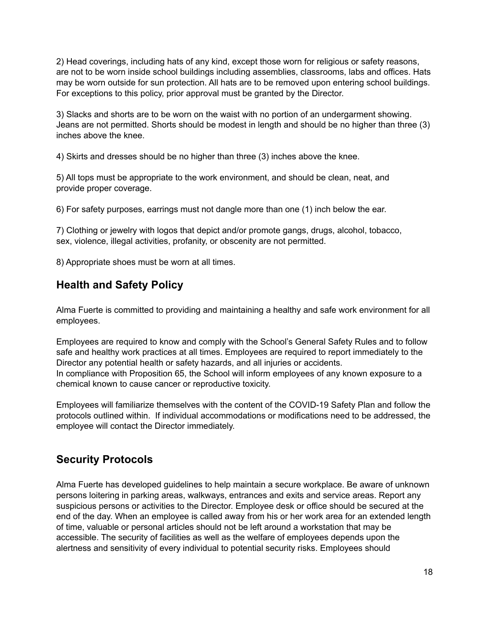2) Head coverings, including hats of any kind, except those worn for religious or safety reasons, are not to be worn inside school buildings including assemblies, classrooms, labs and offices. Hats may be worn outside for sun protection. All hats are to be removed upon entering school buildings. For exceptions to this policy, prior approval must be granted by the Director.

3) Slacks and shorts are to be worn on the waist with no portion of an undergarment showing. Jeans are not permitted. Shorts should be modest in length and should be no higher than three (3) inches above the knee.

4) Skirts and dresses should be no higher than three (3) inches above the knee.

5) All tops must be appropriate to the work environment, and should be clean, neat, and provide proper coverage.

6) For safety purposes, earrings must not dangle more than one (1) inch below the ear.

7) Clothing or jewelry with logos that depict and/or promote gangs, drugs, alcohol, tobacco, sex, violence, illegal activities, profanity, or obscenity are not permitted.

<span id="page-18-0"></span>8) Appropriate shoes must be worn at all times.

# **Health and Safety Policy**

Alma Fuerte is committed to providing and maintaining a healthy and safe work environment for all employees.

Employees are required to know and comply with the School's General Safety Rules and to follow safe and healthy work practices at all times. Employees are required to report immediately to the Director any potential health or safety hazards, and all injuries or accidents. In compliance with Proposition 65, the School will inform employees of any known exposure to a chemical known to cause cancer or reproductive toxicity.

Employees will familiarize themselves with the content of the COVID-19 Safety Plan and follow the protocols outlined within. If individual accommodations or modifications need to be addressed, the employee will contact the Director immediately.

## <span id="page-18-1"></span>**Security Protocols**

Alma Fuerte has developed guidelines to help maintain a secure workplace. Be aware of unknown persons loitering in parking areas, walkways, entrances and exits and service areas. Report any suspicious persons or activities to the Director. Employee desk or office should be secured at the end of the day. When an employee is called away from his or her work area for an extended length of time, valuable or personal articles should not be left around a workstation that may be accessible. The security of facilities as well as the welfare of employees depends upon the alertness and sensitivity of every individual to potential security risks. Employees should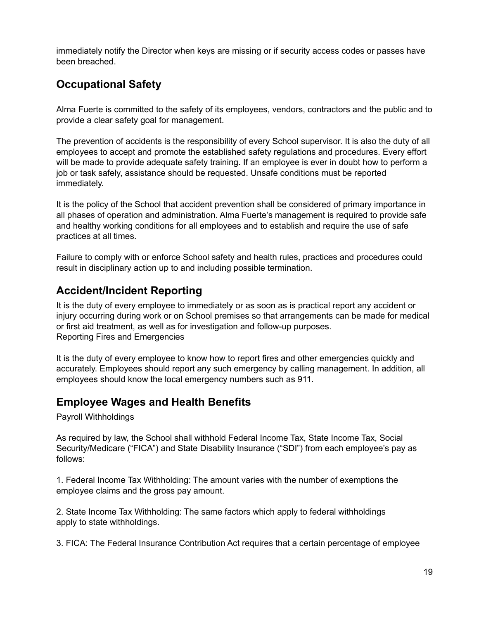immediately notify the Director when keys are missing or if security access codes or passes have been breached.

# <span id="page-19-0"></span>**Occupational Safety**

Alma Fuerte is committed to the safety of its employees, vendors, contractors and the public and to provide a clear safety goal for management.

The prevention of accidents is the responsibility of every School supervisor. It is also the duty of all employees to accept and promote the established safety regulations and procedures. Every effort will be made to provide adequate safety training. If an employee is ever in doubt how to perform a job or task safely, assistance should be requested. Unsafe conditions must be reported immediately.

It is the policy of the School that accident prevention shall be considered of primary importance in all phases of operation and administration. Alma Fuerte's management is required to provide safe and healthy working conditions for all employees and to establish and require the use of safe practices at all times.

Failure to comply with or enforce School safety and health rules, practices and procedures could result in disciplinary action up to and including possible termination.

## <span id="page-19-1"></span>**Accident/Incident Reporting**

It is the duty of every employee to immediately or as soon as is practical report any accident or injury occurring during work or on School premises so that arrangements can be made for medical or first aid treatment, as well as for investigation and follow-up purposes. Reporting Fires and Emergencies

It is the duty of every employee to know how to report fires and other emergencies quickly and accurately. Employees should report any such emergency by calling management. In addition, all employees should know the local emergency numbers such as 911.

## <span id="page-19-2"></span>**Employee Wages and Health Benefits**

Payroll Withholdings

As required by law, the School shall withhold Federal Income Tax, State Income Tax, Social Security/Medicare ("FICA") and State Disability Insurance ("SDI") from each employee's pay as follows:

1. Federal Income Tax Withholding: The amount varies with the number of exemptions the employee claims and the gross pay amount.

2. State Income Tax Withholding: The same factors which apply to federal withholdings apply to state withholdings.

3. FICA: The Federal Insurance Contribution Act requires that a certain percentage of employee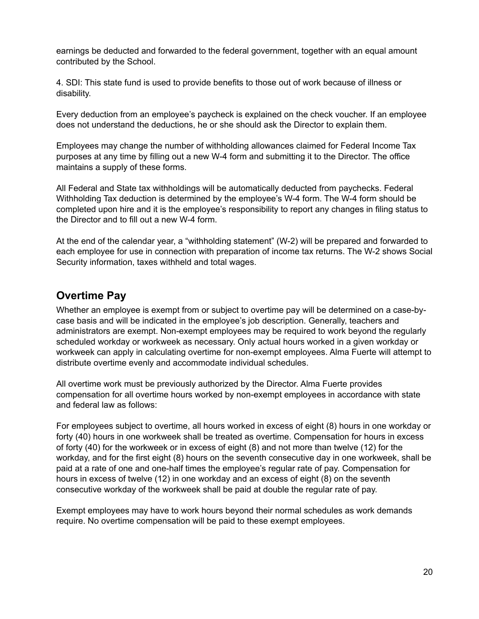earnings be deducted and forwarded to the federal government, together with an equal amount contributed by the School.

4. SDI: This state fund is used to provide benefits to those out of work because of illness or disability.

Every deduction from an employee's paycheck is explained on the check voucher. If an employee does not understand the deductions, he or she should ask the Director to explain them.

Employees may change the number of withholding allowances claimed for Federal Income Tax purposes at any time by filling out a new W-4 form and submitting it to the Director. The office maintains a supply of these forms.

All Federal and State tax withholdings will be automatically deducted from paychecks. Federal Withholding Tax deduction is determined by the employee's W-4 form. The W-4 form should be completed upon hire and it is the employee's responsibility to report any changes in filing status to the Director and to fill out a new W-4 form.

At the end of the calendar year, a "withholding statement" (W-2) will be prepared and forwarded to each employee for use in connection with preparation of income tax returns. The W-2 shows Social Security information, taxes withheld and total wages.

## <span id="page-20-0"></span>**Overtime Pay**

Whether an employee is exempt from or subject to overtime pay will be determined on a case-bycase basis and will be indicated in the employee's job description. Generally, teachers and administrators are exempt. Non-exempt employees may be required to work beyond the regularly scheduled workday or workweek as necessary. Only actual hours worked in a given workday or workweek can apply in calculating overtime for non-exempt employees. Alma Fuerte will attempt to distribute overtime evenly and accommodate individual schedules.

All overtime work must be previously authorized by the Director. Alma Fuerte provides compensation for all overtime hours worked by non-exempt employees in accordance with state and federal law as follows:

For employees subject to overtime, all hours worked in excess of eight (8) hours in one workday or forty (40) hours in one workweek shall be treated as overtime. Compensation for hours in excess of forty (40) for the workweek or in excess of eight (8) and not more than twelve (12) for the workday, and for the first eight (8) hours on the seventh consecutive day in one workweek, shall be paid at a rate of one and one-half times the employee's regular rate of pay. Compensation for hours in excess of twelve (12) in one workday and an excess of eight (8) on the seventh consecutive workday of the workweek shall be paid at double the regular rate of pay.

Exempt employees may have to work hours beyond their normal schedules as work demands require. No overtime compensation will be paid to these exempt employees.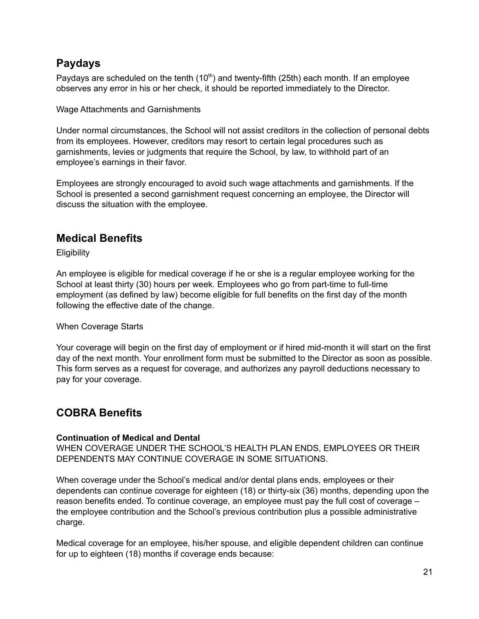# <span id="page-21-0"></span>**Paydays**

Paydays are scheduled on the tenth (10<sup>th</sup>) and twenty-fifth (25th) each month. If an employee observes any error in his or her check, it should be reported immediately to the Director.

Wage Attachments and Garnishments

Under normal circumstances, the School will not assist creditors in the collection of personal debts from its employees. However, creditors may resort to certain legal procedures such as garnishments, levies or judgments that require the School, by law, to withhold part of an employee's earnings in their favor.

Employees are strongly encouraged to avoid such wage attachments and garnishments. If the School is presented a second garnishment request concerning an employee, the Director will discuss the situation with the employee.

## <span id="page-21-1"></span>**Medical Benefits**

**Eligibility** 

An employee is eligible for medical coverage if he or she is a regular employee working for the School at least thirty (30) hours per week. Employees who go from part-time to full-time employment (as defined by law) become eligible for full benefits on the first day of the month following the effective date of the change.

#### When Coverage Starts

Your coverage will begin on the first day of employment or if hired mid-month it will start on the first day of the next month. Your enrollment form must be submitted to the Director as soon as possible. This form serves as a request for coverage, and authorizes any payroll deductions necessary to pay for your coverage.

# <span id="page-21-2"></span>**COBRA Benefits**

#### **Continuation of Medical and Dental**

WHEN COVERAGE UNDER THE SCHOOL'S HEALTH PLAN ENDS, EMPLOYEES OR THEIR DEPENDENTS MAY CONTINUE COVERAGE IN SOME SITUATIONS.

When coverage under the School's medical and/or dental plans ends, employees or their dependents can continue coverage for eighteen (18) or thirty-six (36) months, depending upon the reason benefits ended. To continue coverage, an employee must pay the full cost of coverage – the employee contribution and the School's previous contribution plus a possible administrative charge.

Medical coverage for an employee, his/her spouse, and eligible dependent children can continue for up to eighteen (18) months if coverage ends because: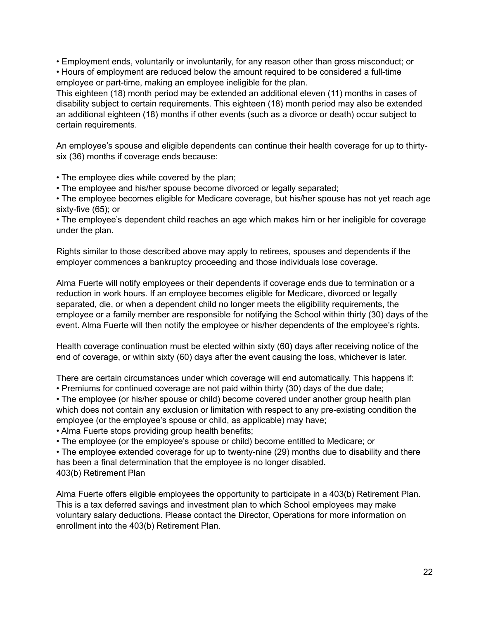• Employment ends, voluntarily or involuntarily, for any reason other than gross misconduct; or • Hours of employment are reduced below the amount required to be considered a full-time employee or part-time, making an employee ineligible for the plan.

This eighteen (18) month period may be extended an additional eleven (11) months in cases of disability subject to certain requirements. This eighteen (18) month period may also be extended an additional eighteen (18) months if other events (such as a divorce or death) occur subject to certain requirements.

An employee's spouse and eligible dependents can continue their health coverage for up to thirtysix (36) months if coverage ends because:

• The employee dies while covered by the plan;

• The employee and his/her spouse become divorced or legally separated;

• The employee becomes eligible for Medicare coverage, but his/her spouse has not yet reach age sixty-five (65); or

• The employee's dependent child reaches an age which makes him or her ineligible for coverage under the plan.

Rights similar to those described above may apply to retirees, spouses and dependents if the employer commences a bankruptcy proceeding and those individuals lose coverage.

Alma Fuerte will notify employees or their dependents if coverage ends due to termination or a reduction in work hours. If an employee becomes eligible for Medicare, divorced or legally separated, die, or when a dependent child no longer meets the eligibility requirements, the employee or a family member are responsible for notifying the School within thirty (30) days of the event. Alma Fuerte will then notify the employee or his/her dependents of the employee's rights.

Health coverage continuation must be elected within sixty (60) days after receiving notice of the end of coverage, or within sixty (60) days after the event causing the loss, whichever is later.

There are certain circumstances under which coverage will end automatically. This happens if:

• Premiums for continued coverage are not paid within thirty (30) days of the due date;

• The employee (or his/her spouse or child) become covered under another group health plan which does not contain any exclusion or limitation with respect to any pre-existing condition the employee (or the employee's spouse or child, as applicable) may have;

• Alma Fuerte stops providing group health benefits;

• The employee (or the employee's spouse or child) become entitled to Medicare; or

• The employee extended coverage for up to twenty-nine (29) months due to disability and there has been a final determination that the employee is no longer disabled. 403(b) Retirement Plan

Alma Fuerte offers eligible employees the opportunity to participate in a 403(b) Retirement Plan. This is a tax deferred savings and investment plan to which School employees may make voluntary salary deductions. Please contact the Director, Operations for more information on enrollment into the 403(b) Retirement Plan.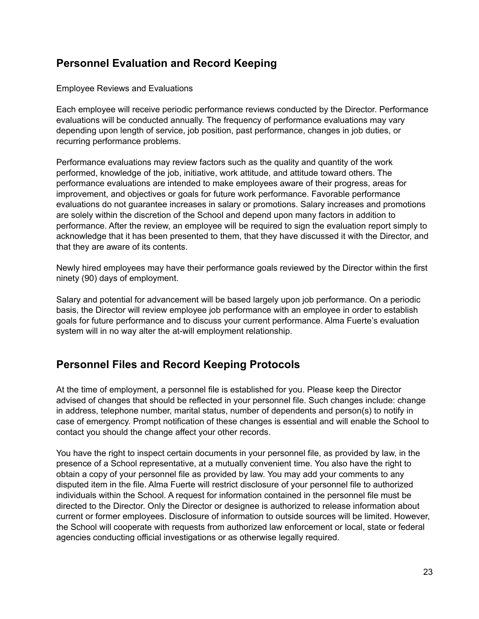# <span id="page-23-0"></span>**Personnel Evaluation and Record Keeping**

Employee Reviews and Evaluations

Each employee will receive periodic performance reviews conducted by the Director. Performance evaluations will be conducted annually. The frequency of performance evaluations may vary depending upon length of service, job position, past performance, changes in job duties, or recurring performance problems.

Performance evaluations may review factors such as the quality and quantity of the work performed, knowledge of the job, initiative, work attitude, and attitude toward others. The performance evaluations are intended to make employees aware of their progress, areas for improvement, and objectives or goals for future work performance. Favorable performance evaluations do not guarantee increases in salary or promotions. Salary increases and promotions are solely within the discretion of the School and depend upon many factors in addition to performance. After the review, an employee will be required to sign the evaluation report simply to acknowledge that it has been presented to them, that they have discussed it with the Director, and that they are aware of its contents.

Newly hired employees may have their performance goals reviewed by the Director within the first ninety (90) days of employment.

Salary and potential for advancement will be based largely upon job performance. On a periodic basis, the Director will review employee job performance with an employee in order to establish goals for future performance and to discuss your current performance. Alma Fuerte's evaluation system will in no way alter the at-will employment relationship.

# <span id="page-23-1"></span>**Personnel Files and Record Keeping Protocols**

At the time of employment, a personnel file is established for you. Please keep the Director advised of changes that should be reflected in your personnel file. Such changes include: change in address, telephone number, marital status, number of dependents and person(s) to notify in case of emergency. Prompt notification of these changes is essential and will enable the School to contact you should the change affect your other records.

You have the right to inspect certain documents in your personnel file, as provided by law, in the presence of a School representative, at a mutually convenient time. You also have the right to obtain a copy of your personnel file as provided by law. You may add your comments to any disputed item in the file. Alma Fuerte will restrict disclosure of your personnel file to authorized individuals within the School. A request for information contained in the personnel file must be directed to the Director. Only the Director or designee is authorized to release information about current or former employees. Disclosure of information to outside sources will be limited. However, the School will cooperate with requests from authorized law enforcement or local, state or federal agencies conducting official investigations or as otherwise legally required.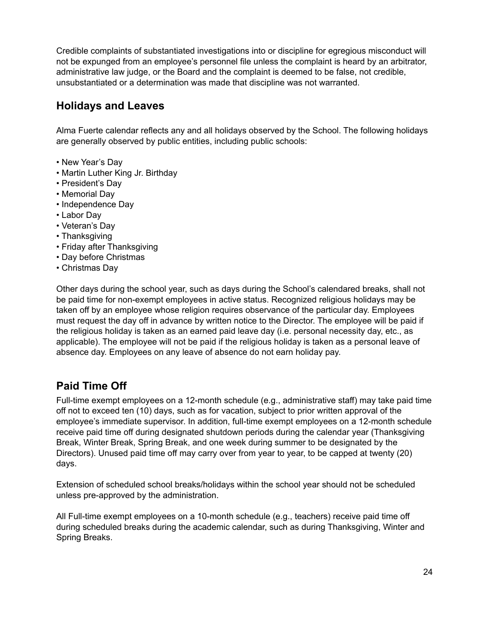Credible complaints of substantiated investigations into or discipline for egregious misconduct will not be expunged from an employee's personnel file unless the complaint is heard by an arbitrator, administrative law judge, or the Board and the complaint is deemed to be false, not credible, unsubstantiated or a determination was made that discipline was not warranted.

## <span id="page-24-0"></span>**Holidays and Leaves**

Alma Fuerte calendar reflects any and all holidays observed by the School. The following holidays are generally observed by public entities, including public schools:

- New Year's Day
- Martin Luther King Jr. Birthday
- President's Day
- Memorial Day
- Independence Day
- Labor Day
- Veteran's Day
- Thanksgiving
- Friday after Thanksgiving
- Day before Christmas
- Christmas Day

Other days during the school year, such as days during the School's calendared breaks, shall not be paid time for non-exempt employees in active status. Recognized religious holidays may be taken off by an employee whose religion requires observance of the particular day. Employees must request the day off in advance by written notice to the Director. The employee will be paid if the religious holiday is taken as an earned paid leave day (i.e. personal necessity day, etc., as applicable). The employee will not be paid if the religious holiday is taken as a personal leave of absence day. Employees on any leave of absence do not earn holiday pay.

# <span id="page-24-1"></span>**Paid Time Off**

Full-time exempt employees on a 12-month schedule (e.g., administrative staff) may take paid time off not to exceed ten (10) days, such as for vacation, subject to prior written approval of the employee's immediate supervisor. In addition, full-time exempt employees on a 12-month schedule receive paid time off during designated shutdown periods during the calendar year (Thanksgiving Break, Winter Break, Spring Break, and one week during summer to be designated by the Directors). Unused paid time off may carry over from year to year, to be capped at twenty (20) days.

Extension of scheduled school breaks/holidays within the school year should not be scheduled unless pre-approved by the administration.

All Full-time exempt employees on a 10-month schedule (e.g., teachers) receive paid time off during scheduled breaks during the academic calendar, such as during Thanksgiving, Winter and Spring Breaks.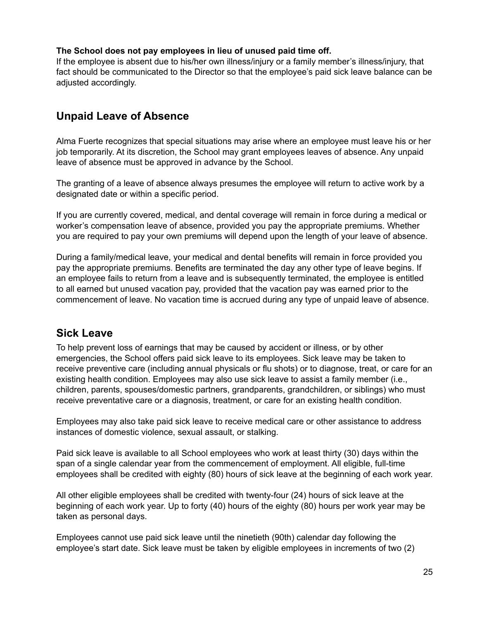#### **The School does not pay employees in lieu of unused paid time off.**

If the employee is absent due to his/her own illness/injury or a family member's illness/injury, that fact should be communicated to the Director so that the employee's paid sick leave balance can be adjusted accordingly.

## <span id="page-25-0"></span>**Unpaid Leave of Absence**

Alma Fuerte recognizes that special situations may arise where an employee must leave his or her job temporarily. At its discretion, the School may grant employees leaves of absence. Any unpaid leave of absence must be approved in advance by the School.

The granting of a leave of absence always presumes the employee will return to active work by a designated date or within a specific period.

If you are currently covered, medical, and dental coverage will remain in force during a medical or worker's compensation leave of absence, provided you pay the appropriate premiums. Whether you are required to pay your own premiums will depend upon the length of your leave of absence.

During a family/medical leave, your medical and dental benefits will remain in force provided you pay the appropriate premiums. Benefits are terminated the day any other type of leave begins. If an employee fails to return from a leave and is subsequently terminated, the employee is entitled to all earned but unused vacation pay, provided that the vacation pay was earned prior to the commencement of leave. No vacation time is accrued during any type of unpaid leave of absence.

## <span id="page-25-1"></span>**Sick Leave**

To help prevent loss of earnings that may be caused by accident or illness, or by other emergencies, the School offers paid sick leave to its employees. Sick leave may be taken to receive preventive care (including annual physicals or flu shots) or to diagnose, treat, or care for an existing health condition. Employees may also use sick leave to assist a family member (i.e., children, parents, spouses/domestic partners, grandparents, grandchildren, or siblings) who must receive preventative care or a diagnosis, treatment, or care for an existing health condition.

Employees may also take paid sick leave to receive medical care or other assistance to address instances of domestic violence, sexual assault, or stalking.

Paid sick leave is available to all School employees who work at least thirty (30) days within the span of a single calendar year from the commencement of employment. All eligible, full-time employees shall be credited with eighty (80) hours of sick leave at the beginning of each work year.

All other eligible employees shall be credited with twenty-four (24) hours of sick leave at the beginning of each work year. Up to forty (40) hours of the eighty (80) hours per work year may be taken as personal days.

Employees cannot use paid sick leave until the ninetieth (90th) calendar day following the employee's start date. Sick leave must be taken by eligible employees in increments of two (2)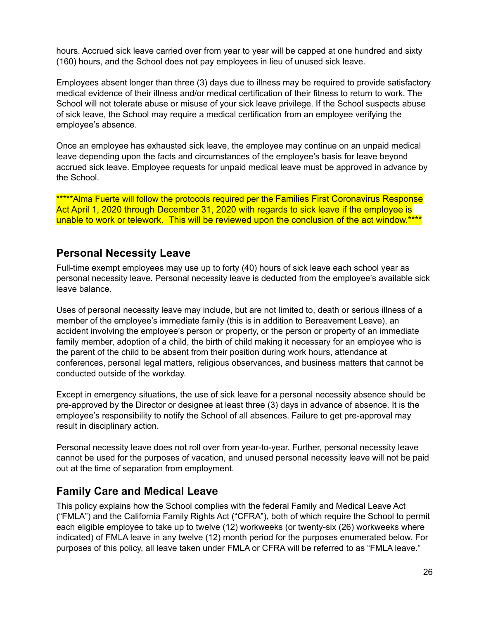hours. Accrued sick leave carried over from year to year will be capped at one hundred and sixty (160) hours, and the School does not pay employees in lieu of unused sick leave.

Employees absent longer than three (3) days due to illness may be required to provide satisfactory medical evidence of their illness and/or medical certification of their fitness to return to work. The School will not tolerate abuse or misuse of your sick leave privilege. If the School suspects abuse of sick leave, the School may require a medical certification from an employee verifying the employee's absence.

Once an employee has exhausted sick leave, the employee may continue on an unpaid medical leave depending upon the facts and circumstances of the employee's basis for leave beyond accrued sick leave. Employee requests for unpaid medical leave must be approved in advance by the School.

\*\*\*\*\*Alma Fuerte will follow the protocols required per the Families First Coronavirus Response Act April 1, 2020 through December 31, 2020 with regards to sick leave if the employee is unable to work or telework. This will be reviewed upon the conclusion of the act window.\*\*\*\*

## <span id="page-26-0"></span>**Personal Necessity Leave**

Full-time exempt employees may use up to forty (40) hours of sick leave each school year as personal necessity leave. Personal necessity leave is deducted from the employee's available sick leave balance.

Uses of personal necessity leave may include, but are not limited to, death or serious illness of a member of the employee's immediate family (this is in addition to Bereavement Leave), an accident involving the employee's person or property, or the person or property of an immediate family member, adoption of a child, the birth of child making it necessary for an employee who is the parent of the child to be absent from their position during work hours, attendance at conferences, personal legal matters, religious observances, and business matters that cannot be conducted outside of the workday.

Except in emergency situations, the use of sick leave for a personal necessity absence should be pre-approved by the Director or designee at least three (3) days in advance of absence. It is the employee's responsibility to notify the School of all absences. Failure to get pre-approval may result in disciplinary action.

Personal necessity leave does not roll over from year-to-year. Further, personal necessity leave cannot be used for the purposes of vacation, and unused personal necessity leave will not be paid out at the time of separation from employment.

## <span id="page-26-1"></span>**Family Care and Medical Leave**

This policy explains how the School complies with the federal Family and Medical Leave Act ("FMLA") and the California Family Rights Act ("CFRA"), both of which require the School to permit each eligible employee to take up to twelve (12) workweeks (or twenty-six (26) workweeks where indicated) of FMLA leave in any twelve (12) month period for the purposes enumerated below. For purposes of this policy, all leave taken under FMLA or CFRA will be referred to as "FMLA leave."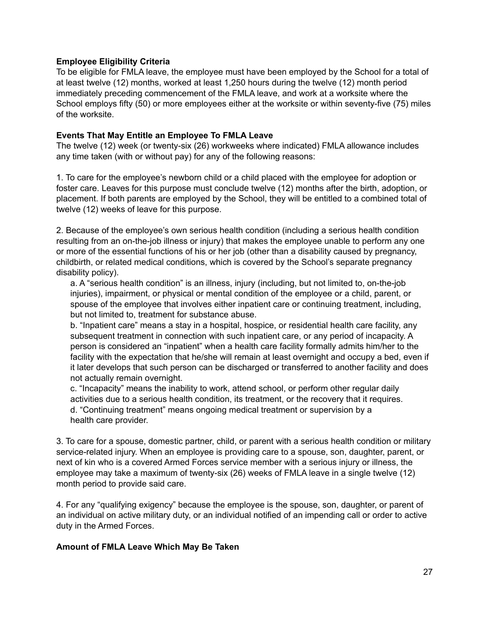#### **Employee Eligibility Criteria**

To be eligible for FMLA leave, the employee must have been employed by the School for a total of at least twelve (12) months, worked at least 1,250 hours during the twelve (12) month period immediately preceding commencement of the FMLA leave, and work at a worksite where the School employs fifty (50) or more employees either at the worksite or within seventy-five (75) miles of the worksite.

#### **Events That May Entitle an Employee To FMLA Leave**

The twelve (12) week (or twenty-six (26) workweeks where indicated) FMLA allowance includes any time taken (with or without pay) for any of the following reasons:

1. To care for the employee's newborn child or a child placed with the employee for adoption or foster care. Leaves for this purpose must conclude twelve (12) months after the birth, adoption, or placement. If both parents are employed by the School, they will be entitled to a combined total of twelve (12) weeks of leave for this purpose.

2. Because of the employee's own serious health condition (including a serious health condition resulting from an on-the-job illness or injury) that makes the employee unable to perform any one or more of the essential functions of his or her job (other than a disability caused by pregnancy, childbirth, or related medical conditions, which is covered by the School's separate pregnancy disability policy).

a. A "serious health condition" is an illness, injury (including, but not limited to, on-the-job injuries), impairment, or physical or mental condition of the employee or a child, parent, or spouse of the employee that involves either inpatient care or continuing treatment, including, but not limited to, treatment for substance abuse.

b. "Inpatient care" means a stay in a hospital, hospice, or residential health care facility, any subsequent treatment in connection with such inpatient care, or any period of incapacity. A person is considered an "inpatient" when a health care facility formally admits him/her to the facility with the expectation that he/she will remain at least overnight and occupy a bed, even if it later develops that such person can be discharged or transferred to another facility and does not actually remain overnight.

c. "Incapacity" means the inability to work, attend school, or perform other regular daily activities due to a serious health condition, its treatment, or the recovery that it requires. d. "Continuing treatment" means ongoing medical treatment or supervision by a health care provider.

3. To care for a spouse, domestic partner, child, or parent with a serious health condition or military service-related injury. When an employee is providing care to a spouse, son, daughter, parent, or next of kin who is a covered Armed Forces service member with a serious injury or illness, the employee may take a maximum of twenty-six (26) weeks of FMLA leave in a single twelve (12) month period to provide said care.

4. For any "qualifying exigency" because the employee is the spouse, son, daughter, or parent of an individual on active military duty, or an individual notified of an impending call or order to active duty in the Armed Forces.

#### **Amount of FMLA Leave Which May Be Taken**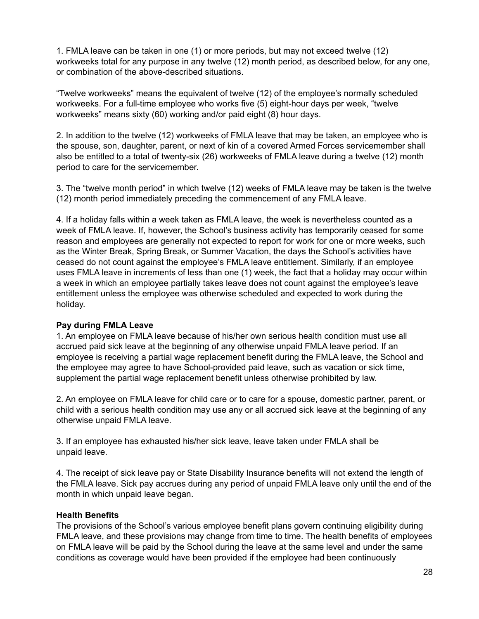1. FMLA leave can be taken in one (1) or more periods, but may not exceed twelve (12) workweeks total for any purpose in any twelve (12) month period, as described below, for any one, or combination of the above-described situations.

"Twelve workweeks" means the equivalent of twelve (12) of the employee's normally scheduled workweeks. For a full-time employee who works five (5) eight-hour days per week, "twelve workweeks" means sixty (60) working and/or paid eight (8) hour days.

2. In addition to the twelve (12) workweeks of FMLA leave that may be taken, an employee who is the spouse, son, daughter, parent, or next of kin of a covered Armed Forces servicemember shall also be entitled to a total of twenty-six (26) workweeks of FMLA leave during a twelve (12) month period to care for the servicemember.

3. The "twelve month period" in which twelve (12) weeks of FMLA leave may be taken is the twelve (12) month period immediately preceding the commencement of any FMLA leave.

4. If a holiday falls within a week taken as FMLA leave, the week is nevertheless counted as a week of FMLA leave. If, however, the School's business activity has temporarily ceased for some reason and employees are generally not expected to report for work for one or more weeks, such as the Winter Break, Spring Break, or Summer Vacation, the days the School's activities have ceased do not count against the employee's FMLA leave entitlement. Similarly, if an employee uses FMLA leave in increments of less than one (1) week, the fact that a holiday may occur within a week in which an employee partially takes leave does not count against the employee's leave entitlement unless the employee was otherwise scheduled and expected to work during the holiday.

#### **Pay during FMLA Leave**

1. An employee on FMLA leave because of his/her own serious health condition must use all accrued paid sick leave at the beginning of any otherwise unpaid FMLA leave period. If an employee is receiving a partial wage replacement benefit during the FMLA leave, the School and the employee may agree to have School-provided paid leave, such as vacation or sick time, supplement the partial wage replacement benefit unless otherwise prohibited by law.

2. An employee on FMLA leave for child care or to care for a spouse, domestic partner, parent, or child with a serious health condition may use any or all accrued sick leave at the beginning of any otherwise unpaid FMLA leave.

3. If an employee has exhausted his/her sick leave, leave taken under FMLA shall be unpaid leave.

4. The receipt of sick leave pay or State Disability Insurance benefits will not extend the length of the FMLA leave. Sick pay accrues during any period of unpaid FMLA leave only until the end of the month in which unpaid leave began.

#### **Health Benefits**

The provisions of the School's various employee benefit plans govern continuing eligibility during FMLA leave, and these provisions may change from time to time. The health benefits of employees on FMLA leave will be paid by the School during the leave at the same level and under the same conditions as coverage would have been provided if the employee had been continuously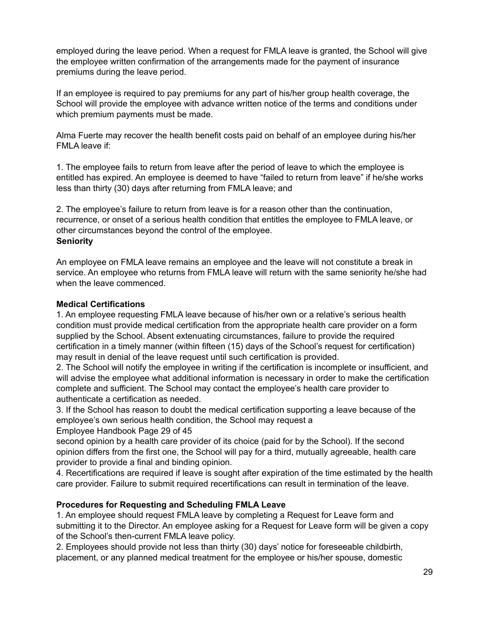employed during the leave period. When a request for FMLA leave is granted, the School will give the employee written confirmation of the arrangements made for the payment of insurance premiums during the leave period.

If an employee is required to pay premiums for any part of his/her group health coverage, the School will provide the employee with advance written notice of the terms and conditions under which premium payments must be made.

Alma Fuerte may recover the health benefit costs paid on behalf of an employee during his/her FMLA leave if:

1. The employee fails to return from leave after the period of leave to which the employee is entitled has expired. An employee is deemed to have "failed to return from leave" if he/she works less than thirty (30) days after returning from FMLA leave; and

2. The employee's failure to return from leave is for a reason other than the continuation, recurrence, or onset of a serious health condition that entitles the employee to FMLA leave, or other circumstances beyond the control of the employee. **Seniority**

An employee on FMLA leave remains an employee and the leave will not constitute a break in service. An employee who returns from FMLA leave will return with the same seniority he/she had when the leave commenced.

#### **Medical Certifications**

1. An employee requesting FMLA leave because of his/her own or a relative's serious health condition must provide medical certification from the appropriate health care provider on a form supplied by the School. Absent extenuating circumstances, failure to provide the required certification in a timely manner (within fifteen (15) days of the School's request for certification) may result in denial of the leave request until such certification is provided.

2. The School will notify the employee in writing if the certification is incomplete or insufficient, and will advise the employee what additional information is necessary in order to make the certification complete and sufficient. The School may contact the employee's health care provider to authenticate a certification as needed.

3. If the School has reason to doubt the medical certification supporting a leave because of the employee's own serious health condition, the School may request a

Employee Handbook Page 29 of 45

second opinion by a health care provider of its choice (paid for by the School). If the second opinion differs from the first one, the School will pay for a third, mutually agreeable, health care provider to provide a final and binding opinion.

4. Recertifications are required if leave is sought after expiration of the time estimated by the health care provider. Failure to submit required recertifications can result in termination of the leave.

#### **Procedures for Requesting and Scheduling FMLA Leave**

1. An employee should request FMLA leave by completing a Request for Leave form and submitting it to the Director. An employee asking for a Request for Leave form will be given a copy of the School's then-current FMLA leave policy.

2. Employees should provide not less than thirty (30) days' notice for foreseeable childbirth, placement, or any planned medical treatment for the employee or his/her spouse, domestic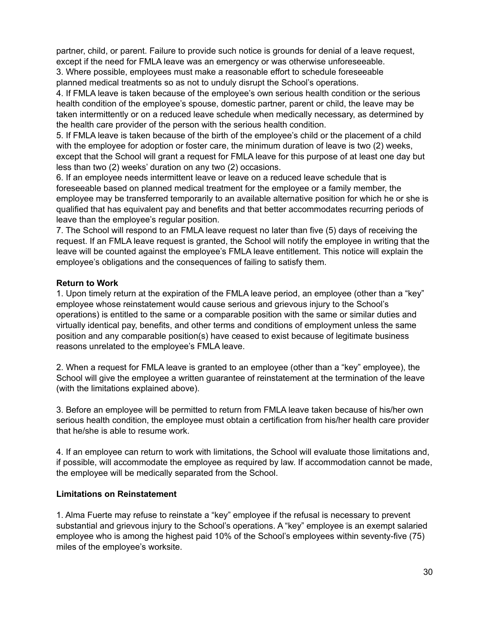partner, child, or parent. Failure to provide such notice is grounds for denial of a leave request, except if the need for FMLA leave was an emergency or was otherwise unforeseeable. 3. Where possible, employees must make a reasonable effort to schedule foreseeable

planned medical treatments so as not to unduly disrupt the School's operations.

4. If FMLA leave is taken because of the employee's own serious health condition or the serious health condition of the employee's spouse, domestic partner, parent or child, the leave may be taken intermittently or on a reduced leave schedule when medically necessary, as determined by the health care provider of the person with the serious health condition.

5. If FMLA leave is taken because of the birth of the employee's child or the placement of a child with the employee for adoption or foster care, the minimum duration of leave is two (2) weeks, except that the School will grant a request for FMLA leave for this purpose of at least one day but less than two (2) weeks' duration on any two (2) occasions.

6. If an employee needs intermittent leave or leave on a reduced leave schedule that is foreseeable based on planned medical treatment for the employee or a family member, the employee may be transferred temporarily to an available alternative position for which he or she is qualified that has equivalent pay and benefits and that better accommodates recurring periods of leave than the employee's regular position.

7. The School will respond to an FMLA leave request no later than five (5) days of receiving the request. If an FMLA leave request is granted, the School will notify the employee in writing that the leave will be counted against the employee's FMLA leave entitlement. This notice will explain the employee's obligations and the consequences of failing to satisfy them.

#### **Return to Work**

1. Upon timely return at the expiration of the FMLA leave period, an employee (other than a "key" employee whose reinstatement would cause serious and grievous injury to the School's operations) is entitled to the same or a comparable position with the same or similar duties and virtually identical pay, benefits, and other terms and conditions of employment unless the same position and any comparable position(s) have ceased to exist because of legitimate business reasons unrelated to the employee's FMLA leave.

2. When a request for FMLA leave is granted to an employee (other than a "key" employee), the School will give the employee a written guarantee of reinstatement at the termination of the leave (with the limitations explained above).

3. Before an employee will be permitted to return from FMLA leave taken because of his/her own serious health condition, the employee must obtain a certification from his/her health care provider that he/she is able to resume work.

4. If an employee can return to work with limitations, the School will evaluate those limitations and, if possible, will accommodate the employee as required by law. If accommodation cannot be made, the employee will be medically separated from the School.

#### **Limitations on Reinstatement**

1. Alma Fuerte may refuse to reinstate a "key" employee if the refusal is necessary to prevent substantial and grievous injury to the School's operations. A "key" employee is an exempt salaried employee who is among the highest paid 10% of the School's employees within seventy-five (75) miles of the employee's worksite.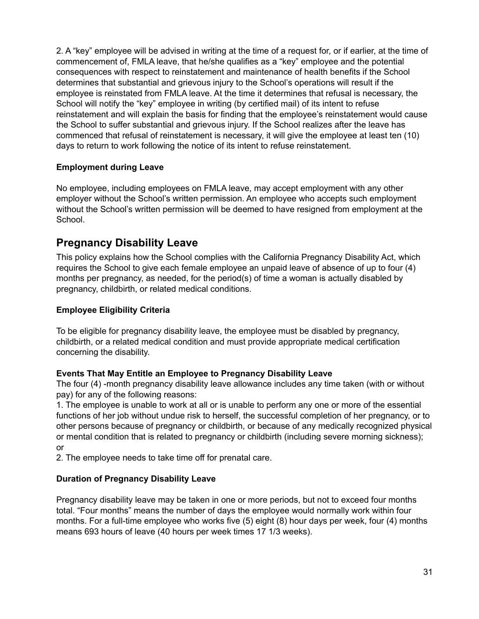2. A "key" employee will be advised in writing at the time of a request for, or if earlier, at the time of commencement of, FMLA leave, that he/she qualifies as a "key" employee and the potential consequences with respect to reinstatement and maintenance of health benefits if the School determines that substantial and grievous injury to the School's operations will result if the employee is reinstated from FMLA leave. At the time it determines that refusal is necessary, the School will notify the "key" employee in writing (by certified mail) of its intent to refuse reinstatement and will explain the basis for finding that the employee's reinstatement would cause the School to suffer substantial and grievous injury. If the School realizes after the leave has commenced that refusal of reinstatement is necessary, it will give the employee at least ten (10) days to return to work following the notice of its intent to refuse reinstatement.

#### **Employment during Leave**

No employee, including employees on FMLA leave, may accept employment with any other employer without the School's written permission. An employee who accepts such employment without the School's written permission will be deemed to have resigned from employment at the School.

## <span id="page-31-0"></span>**Pregnancy Disability Leave**

This policy explains how the School complies with the California Pregnancy Disability Act, which requires the School to give each female employee an unpaid leave of absence of up to four (4) months per pregnancy, as needed, for the period(s) of time a woman is actually disabled by pregnancy, childbirth, or related medical conditions.

#### **Employee Eligibility Criteria**

To be eligible for pregnancy disability leave, the employee must be disabled by pregnancy, childbirth, or a related medical condition and must provide appropriate medical certification concerning the disability.

#### **Events That May Entitle an Employee to Pregnancy Disability Leave**

The four (4) -month pregnancy disability leave allowance includes any time taken (with or without pay) for any of the following reasons:

1. The employee is unable to work at all or is unable to perform any one or more of the essential functions of her job without undue risk to herself, the successful completion of her pregnancy, or to other persons because of pregnancy or childbirth, or because of any medically recognized physical or mental condition that is related to pregnancy or childbirth (including severe morning sickness); or

2. The employee needs to take time off for prenatal care.

#### **Duration of Pregnancy Disability Leave**

Pregnancy disability leave may be taken in one or more periods, but not to exceed four months total. "Four months" means the number of days the employee would normally work within four months. For a full-time employee who works five (5) eight (8) hour days per week, four (4) months means 693 hours of leave (40 hours per week times 17 1/3 weeks).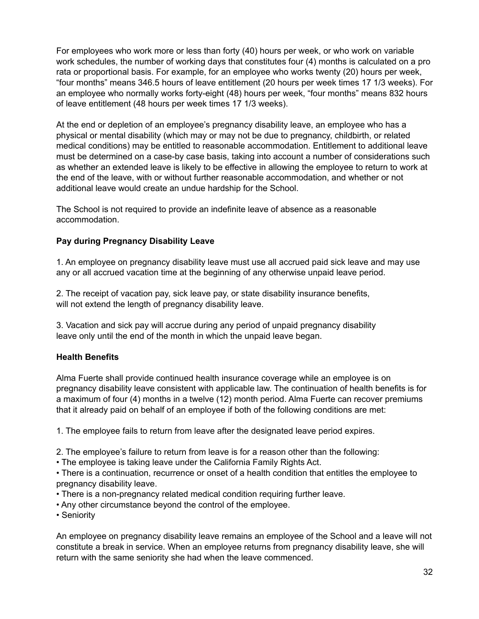For employees who work more or less than forty (40) hours per week, or who work on variable work schedules, the number of working days that constitutes four (4) months is calculated on a pro rata or proportional basis. For example, for an employee who works twenty (20) hours per week, "four months" means 346.5 hours of leave entitlement (20 hours per week times 17 1/3 weeks). For an employee who normally works forty-eight (48) hours per week, "four months" means 832 hours of leave entitlement (48 hours per week times 17 1/3 weeks).

At the end or depletion of an employee's pregnancy disability leave, an employee who has a physical or mental disability (which may or may not be due to pregnancy, childbirth, or related medical conditions) may be entitled to reasonable accommodation. Entitlement to additional leave must be determined on a case-by case basis, taking into account a number of considerations such as whether an extended leave is likely to be effective in allowing the employee to return to work at the end of the leave, with or without further reasonable accommodation, and whether or not additional leave would create an undue hardship for the School.

The School is not required to provide an indefinite leave of absence as a reasonable accommodation.

#### **Pay during Pregnancy Disability Leave**

1. An employee on pregnancy disability leave must use all accrued paid sick leave and may use any or all accrued vacation time at the beginning of any otherwise unpaid leave period.

2. The receipt of vacation pay, sick leave pay, or state disability insurance benefits, will not extend the length of pregnancy disability leave.

3. Vacation and sick pay will accrue during any period of unpaid pregnancy disability leave only until the end of the month in which the unpaid leave began.

#### **Health Benefits**

Alma Fuerte shall provide continued health insurance coverage while an employee is on pregnancy disability leave consistent with applicable law. The continuation of health benefits is for a maximum of four (4) months in a twelve (12) month period. Alma Fuerte can recover premiums that it already paid on behalf of an employee if both of the following conditions are met:

1. The employee fails to return from leave after the designated leave period expires.

- 2. The employee's failure to return from leave is for a reason other than the following:
- The employee is taking leave under the California Family Rights Act.

• There is a continuation, recurrence or onset of a health condition that entitles the employee to pregnancy disability leave.

- There is a non-pregnancy related medical condition requiring further leave.
- Any other circumstance beyond the control of the employee.
- Seniority

An employee on pregnancy disability leave remains an employee of the School and a leave will not constitute a break in service. When an employee returns from pregnancy disability leave, she will return with the same seniority she had when the leave commenced.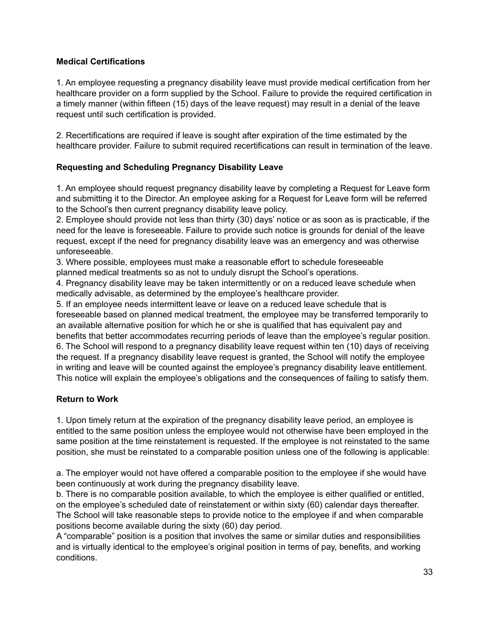#### **Medical Certifications**

1. An employee requesting a pregnancy disability leave must provide medical certification from her healthcare provider on a form supplied by the School. Failure to provide the required certification in a timely manner (within fifteen (15) days of the leave request) may result in a denial of the leave request until such certification is provided.

2. Recertifications are required if leave is sought after expiration of the time estimated by the healthcare provider. Failure to submit required recertifications can result in termination of the leave.

#### **Requesting and Scheduling Pregnancy Disability Leave**

1. An employee should request pregnancy disability leave by completing a Request for Leave form and submitting it to the Director. An employee asking for a Request for Leave form will be referred to the School's then current pregnancy disability leave policy.

2. Employee should provide not less than thirty (30) days' notice or as soon as is practicable, if the need for the leave is foreseeable. Failure to provide such notice is grounds for denial of the leave request, except if the need for pregnancy disability leave was an emergency and was otherwise unforeseeable.

3. Where possible, employees must make a reasonable effort to schedule foreseeable planned medical treatments so as not to unduly disrupt the School's operations.

4. Pregnancy disability leave may be taken intermittently or on a reduced leave schedule when medically advisable, as determined by the employee's healthcare provider.

5. If an employee needs intermittent leave or leave on a reduced leave schedule that is foreseeable based on planned medical treatment, the employee may be transferred temporarily to an available alternative position for which he or she is qualified that has equivalent pay and benefits that better accommodates recurring periods of leave than the employee's regular position. 6. The School will respond to a pregnancy disability leave request within ten (10) days of receiving the request. If a pregnancy disability leave request is granted, the School will notify the employee in writing and leave will be counted against the employee's pregnancy disability leave entitlement. This notice will explain the employee's obligations and the consequences of failing to satisfy them.

#### **Return to Work**

1. Upon timely return at the expiration of the pregnancy disability leave period, an employee is entitled to the same position unless the employee would not otherwise have been employed in the same position at the time reinstatement is requested. If the employee is not reinstated to the same position, she must be reinstated to a comparable position unless one of the following is applicable:

a. The employer would not have offered a comparable position to the employee if she would have been continuously at work during the pregnancy disability leave.

b. There is no comparable position available, to which the employee is either qualified or entitled, on the employee's scheduled date of reinstatement or within sixty (60) calendar days thereafter. The School will take reasonable steps to provide notice to the employee if and when comparable positions become available during the sixty (60) day period.

A "comparable" position is a position that involves the same or similar duties and responsibilities and is virtually identical to the employee's original position in terms of pay, benefits, and working conditions.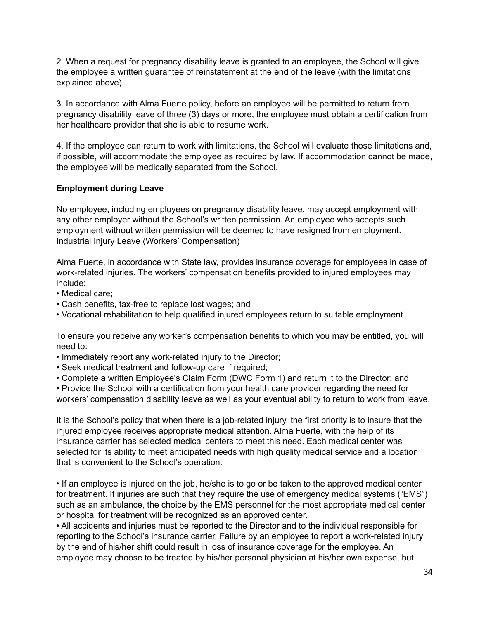2. When a request for pregnancy disability leave is granted to an employee, the School will give the employee a written guarantee of reinstatement at the end of the leave (with the limitations explained above).

3. In accordance with Alma Fuerte policy, before an employee will be permitted to return from pregnancy disability leave of three (3) days or more, the employee must obtain a certification from her healthcare provider that she is able to resume work.

4. If the employee can return to work with limitations, the School will evaluate those limitations and, if possible, will accommodate the employee as required by law. If accommodation cannot be made, the employee will be medically separated from the School.

#### **Employment during Leave**

No employee, including employees on pregnancy disability leave, may accept employment with any other employer without the School's written permission. An employee who accepts such employment without written permission will be deemed to have resigned from employment. Industrial Injury Leave (Workers' Compensation)

Alma Fuerte, in accordance with State law, provides insurance coverage for employees in case of work-related injuries. The workers' compensation benefits provided to injured employees may include:

- Medical care;
- Cash benefits, tax-free to replace lost wages; and
- Vocational rehabilitation to help qualified injured employees return to suitable employment.

To ensure you receive any worker's compensation benefits to which you may be entitled, you will need to:

- Immediately report any work-related injury to the Director;
- Seek medical treatment and follow-up care if required;
- Complete a written Employee's Claim Form (DWC Form 1) and return it to the Director; and

• Provide the School with a certification from your health care provider regarding the need for workers' compensation disability leave as well as your eventual ability to return to work from leave.

It is the School's policy that when there is a job-related injury, the first priority is to insure that the injured employee receives appropriate medical attention. Alma Fuerte, with the help of its insurance carrier has selected medical centers to meet this need. Each medical center was selected for its ability to meet anticipated needs with high quality medical service and a location that is convenient to the School's operation.

• If an employee is injured on the job, he/she is to go or be taken to the approved medical center for treatment. If injuries are such that they require the use of emergency medical systems ("EMS") such as an ambulance, the choice by the EMS personnel for the most appropriate medical center or hospital for treatment will be recognized as an approved center.

• All accidents and injuries must be reported to the Director and to the individual responsible for reporting to the School's insurance carrier. Failure by an employee to report a work-related injury by the end of his/her shift could result in loss of insurance coverage for the employee. An employee may choose to be treated by his/her personal physician at his/her own expense, but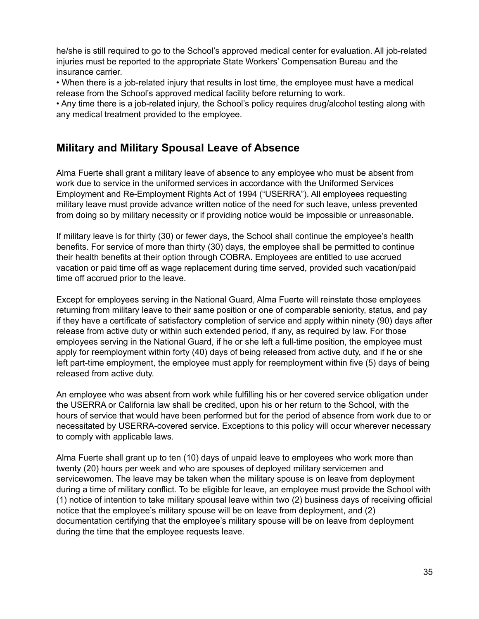he/she is still required to go to the School's approved medical center for evaluation. All job-related injuries must be reported to the appropriate State Workers' Compensation Bureau and the insurance carrier.

• When there is a job-related injury that results in lost time, the employee must have a medical release from the School's approved medical facility before returning to work.

• Any time there is a job-related injury, the School's policy requires drug/alcohol testing along with any medical treatment provided to the employee.

## <span id="page-35-0"></span>**Military and Military Spousal Leave of Absence**

Alma Fuerte shall grant a military leave of absence to any employee who must be absent from work due to service in the uniformed services in accordance with the Uniformed Services Employment and Re-Employment Rights Act of 1994 ("USERRA"). All employees requesting military leave must provide advance written notice of the need for such leave, unless prevented from doing so by military necessity or if providing notice would be impossible or unreasonable.

If military leave is for thirty (30) or fewer days, the School shall continue the employee's health benefits. For service of more than thirty (30) days, the employee shall be permitted to continue their health benefits at their option through COBRA. Employees are entitled to use accrued vacation or paid time off as wage replacement during time served, provided such vacation/paid time off accrued prior to the leave.

Except for employees serving in the National Guard, Alma Fuerte will reinstate those employees returning from military leave to their same position or one of comparable seniority, status, and pay if they have a certificate of satisfactory completion of service and apply within ninety (90) days after release from active duty or within such extended period, if any, as required by law. For those employees serving in the National Guard, if he or she left a full-time position, the employee must apply for reemployment within forty (40) days of being released from active duty, and if he or she left part-time employment, the employee must apply for reemployment within five (5) days of being released from active duty.

An employee who was absent from work while fulfilling his or her covered service obligation under the USERRA or California law shall be credited, upon his or her return to the School, with the hours of service that would have been performed but for the period of absence from work due to or necessitated by USERRA-covered service. Exceptions to this policy will occur wherever necessary to comply with applicable laws.

Alma Fuerte shall grant up to ten (10) days of unpaid leave to employees who work more than twenty (20) hours per week and who are spouses of deployed military servicemen and servicewomen. The leave may be taken when the military spouse is on leave from deployment during a time of military conflict. To be eligible for leave, an employee must provide the School with (1) notice of intention to take military spousal leave within two (2) business days of receiving official notice that the employee's military spouse will be on leave from deployment, and (2) documentation certifying that the employee's military spouse will be on leave from deployment during the time that the employee requests leave.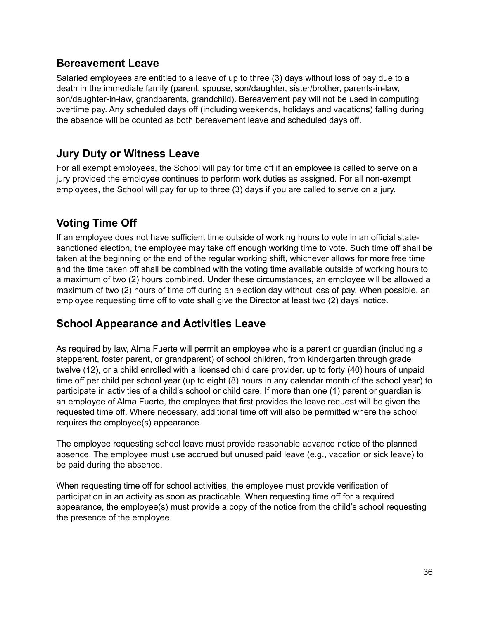## <span id="page-36-0"></span>**Bereavement Leave**

Salaried employees are entitled to a leave of up to three (3) days without loss of pay due to a death in the immediate family (parent, spouse, son/daughter, sister/brother, parents-in-law, son/daughter-in-law, grandparents, grandchild). Bereavement pay will not be used in computing overtime pay. Any scheduled days off (including weekends, holidays and vacations) falling during the absence will be counted as both bereavement leave and scheduled days off.

## <span id="page-36-1"></span>**Jury Duty or Witness Leave**

For all exempt employees, the School will pay for time off if an employee is called to serve on a jury provided the employee continues to perform work duties as assigned. For all non-exempt employees, the School will pay for up to three (3) days if you are called to serve on a jury.

# <span id="page-36-2"></span>**Voting Time Off**

If an employee does not have sufficient time outside of working hours to vote in an official statesanctioned election, the employee may take off enough working time to vote. Such time off shall be taken at the beginning or the end of the regular working shift, whichever allows for more free time and the time taken off shall be combined with the voting time available outside of working hours to a maximum of two (2) hours combined. Under these circumstances, an employee will be allowed a maximum of two (2) hours of time off during an election day without loss of pay. When possible, an employee requesting time off to vote shall give the Director at least two (2) days' notice.

# <span id="page-36-3"></span>**School Appearance and Activities Leave**

As required by law, Alma Fuerte will permit an employee who is a parent or guardian (including a stepparent, foster parent, or grandparent) of school children, from kindergarten through grade twelve (12), or a child enrolled with a licensed child care provider, up to forty (40) hours of unpaid time off per child per school year (up to eight (8) hours in any calendar month of the school year) to participate in activities of a child's school or child care. If more than one (1) parent or guardian is an employee of Alma Fuerte, the employee that first provides the leave request will be given the requested time off. Where necessary, additional time off will also be permitted where the school requires the employee(s) appearance.

The employee requesting school leave must provide reasonable advance notice of the planned absence. The employee must use accrued but unused paid leave (e.g., vacation or sick leave) to be paid during the absence.

When requesting time off for school activities, the employee must provide verification of participation in an activity as soon as practicable. When requesting time off for a required appearance, the employee(s) must provide a copy of the notice from the child's school requesting the presence of the employee.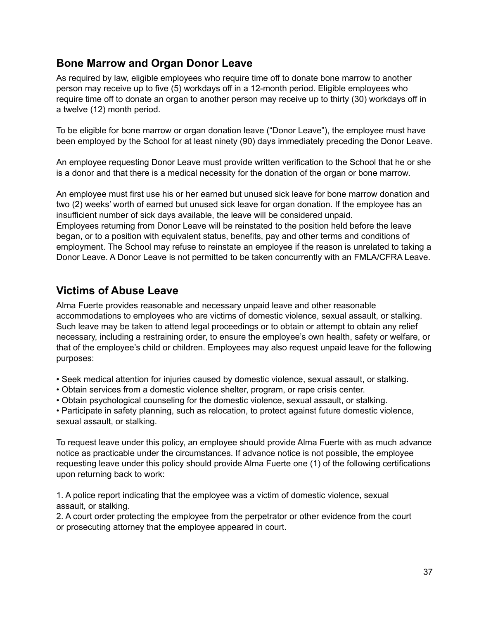## <span id="page-37-0"></span>**Bone Marrow and Organ Donor Leave**

As required by law, eligible employees who require time off to donate bone marrow to another person may receive up to five (5) workdays off in a 12-month period. Eligible employees who require time off to donate an organ to another person may receive up to thirty (30) workdays off in a twelve (12) month period.

To be eligible for bone marrow or organ donation leave ("Donor Leave"), the employee must have been employed by the School for at least ninety (90) days immediately preceding the Donor Leave.

An employee requesting Donor Leave must provide written verification to the School that he or she is a donor and that there is a medical necessity for the donation of the organ or bone marrow.

An employee must first use his or her earned but unused sick leave for bone marrow donation and two (2) weeks' worth of earned but unused sick leave for organ donation. If the employee has an insufficient number of sick days available, the leave will be considered unpaid. Employees returning from Donor Leave will be reinstated to the position held before the leave began, or to a position with equivalent status, benefits, pay and other terms and conditions of employment. The School may refuse to reinstate an employee if the reason is unrelated to taking a Donor Leave. A Donor Leave is not permitted to be taken concurrently with an FMLA/CFRA Leave.

## <span id="page-37-1"></span>**Victims of Abuse Leave**

Alma Fuerte provides reasonable and necessary unpaid leave and other reasonable accommodations to employees who are victims of domestic violence, sexual assault, or stalking. Such leave may be taken to attend legal proceedings or to obtain or attempt to obtain any relief necessary, including a restraining order, to ensure the employee's own health, safety or welfare, or that of the employee's child or children. Employees may also request unpaid leave for the following purposes:

- Seek medical attention for injuries caused by domestic violence, sexual assault, or stalking.
- Obtain services from a domestic violence shelter, program, or rape crisis center.
- Obtain psychological counseling for the domestic violence, sexual assault, or stalking.

• Participate in safety planning, such as relocation, to protect against future domestic violence, sexual assault, or stalking.

To request leave under this policy, an employee should provide Alma Fuerte with as much advance notice as practicable under the circumstances. If advance notice is not possible, the employee requesting leave under this policy should provide Alma Fuerte one (1) of the following certifications upon returning back to work:

1. A police report indicating that the employee was a victim of domestic violence, sexual assault, or stalking.

2. A court order protecting the employee from the perpetrator or other evidence from the court or prosecuting attorney that the employee appeared in court.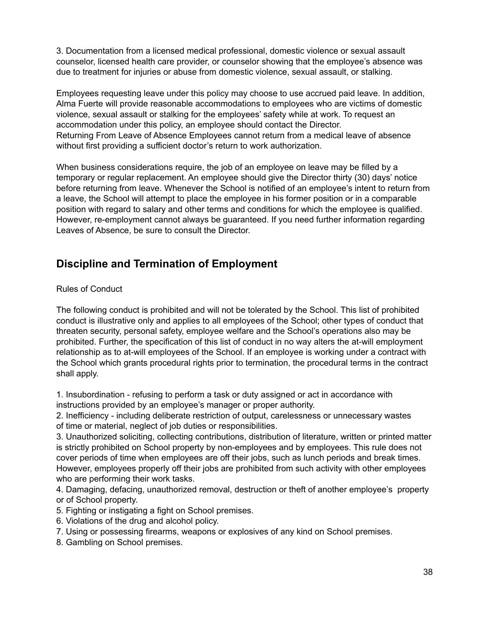3. Documentation from a licensed medical professional, domestic violence or sexual assault counselor, licensed health care provider, or counselor showing that the employee's absence was due to treatment for injuries or abuse from domestic violence, sexual assault, or stalking.

Employees requesting leave under this policy may choose to use accrued paid leave. In addition, Alma Fuerte will provide reasonable accommodations to employees who are victims of domestic violence, sexual assault or stalking for the employees' safety while at work. To request an accommodation under this policy, an employee should contact the Director. Returning From Leave of Absence Employees cannot return from a medical leave of absence without first providing a sufficient doctor's return to work authorization.

When business considerations require, the job of an employee on leave may be filled by a temporary or regular replacement. An employee should give the Director thirty (30) days' notice before returning from leave. Whenever the School is notified of an employee's intent to return from a leave, the School will attempt to place the employee in his former position or in a comparable position with regard to salary and other terms and conditions for which the employee is qualified. However, re-employment cannot always be guaranteed. If you need further information regarding Leaves of Absence, be sure to consult the Director.

## <span id="page-38-0"></span>**Discipline and Termination of Employment**

#### Rules of Conduct

The following conduct is prohibited and will not be tolerated by the School. This list of prohibited conduct is illustrative only and applies to all employees of the School; other types of conduct that threaten security, personal safety, employee welfare and the School's operations also may be prohibited. Further, the specification of this list of conduct in no way alters the at-will employment relationship as to at-will employees of the School. If an employee is working under a contract with the School which grants procedural rights prior to termination, the procedural terms in the contract shall apply.

1. Insubordination - refusing to perform a task or duty assigned or act in accordance with instructions provided by an employee's manager or proper authority.

2. Inefficiency - including deliberate restriction of output, carelessness or unnecessary wastes of time or material, neglect of job duties or responsibilities.

3. Unauthorized soliciting, collecting contributions, distribution of literature, written or printed matter is strictly prohibited on School property by non-employees and by employees. This rule does not cover periods of time when employees are off their jobs, such as lunch periods and break times. However, employees properly off their jobs are prohibited from such activity with other employees who are performing their work tasks.

4. Damaging, defacing, unauthorized removal, destruction or theft of another employee's property or of School property.

- 5. Fighting or instigating a fight on School premises.
- 6. Violations of the drug and alcohol policy.
- 7. Using or possessing firearms, weapons or explosives of any kind on School premises.
- 8. Gambling on School premises.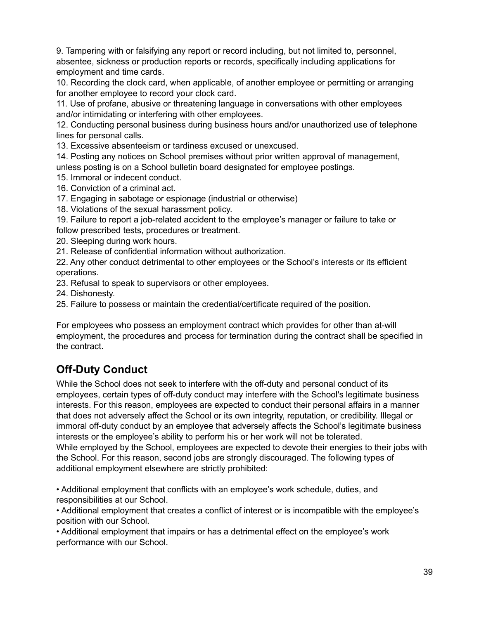9. Tampering with or falsifying any report or record including, but not limited to, personnel, absentee, sickness or production reports or records, specifically including applications for employment and time cards.

10. Recording the clock card, when applicable, of another employee or permitting or arranging for another employee to record your clock card.

11. Use of profane, abusive or threatening language in conversations with other employees and/or intimidating or interfering with other employees.

12. Conducting personal business during business hours and/or unauthorized use of telephone lines for personal calls.

13. Excessive absenteeism or tardiness excused or unexcused.

14. Posting any notices on School premises without prior written approval of management, unless posting is on a School bulletin board designated for employee postings.

15. Immoral or indecent conduct.

- 16. Conviction of a criminal act.
- 17. Engaging in sabotage or espionage (industrial or otherwise)
- 18. Violations of the sexual harassment policy.

19. Failure to report a job-related accident to the employee's manager or failure to take or follow prescribed tests, procedures or treatment.

20. Sleeping during work hours.

21. Release of confidential information without authorization.

22. Any other conduct detrimental to other employees or the School's interests or its efficient operations.

23. Refusal to speak to supervisors or other employees.

24. Dishonesty.

25. Failure to possess or maintain the credential/certificate required of the position.

For employees who possess an employment contract which provides for other than at-will employment, the procedures and process for termination during the contract shall be specified in the contract.

# <span id="page-39-0"></span>**Off-Duty Conduct**

While the School does not seek to interfere with the off-duty and personal conduct of its employees, certain types of off-duty conduct may interfere with the School's legitimate business interests. For this reason, employees are expected to conduct their personal affairs in a manner that does not adversely affect the School or its own integrity, reputation, or credibility. Illegal or immoral off-duty conduct by an employee that adversely affects the School's legitimate business interests or the employee's ability to perform his or her work will not be tolerated. While employed by the School, employees are expected to devote their energies to their jobs with the School. For this reason, second jobs are strongly discouraged. The following types of additional employment elsewhere are strictly prohibited:

• Additional employment that conflicts with an employee's work schedule, duties, and responsibilities at our School.

• Additional employment that creates a conflict of interest or is incompatible with the employee's position with our School.

• Additional employment that impairs or has a detrimental effect on the employee's work performance with our School.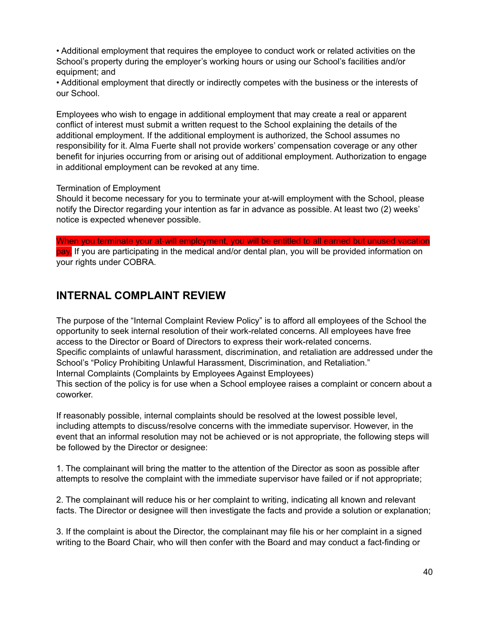• Additional employment that requires the employee to conduct work or related activities on the School's property during the employer's working hours or using our School's facilities and/or equipment; and

• Additional employment that directly or indirectly competes with the business or the interests of our School.

Employees who wish to engage in additional employment that may create a real or apparent conflict of interest must submit a written request to the School explaining the details of the additional employment. If the additional employment is authorized, the School assumes no responsibility for it. Alma Fuerte shall not provide workers' compensation coverage or any other benefit for injuries occurring from or arising out of additional employment. Authorization to engage in additional employment can be revoked at any time.

#### Termination of Employment

Should it become necessary for you to terminate your at-will employment with the School, please notify the Director regarding your intention as far in advance as possible. At least two (2) weeks' notice is expected whenever possible.

When you terminate your at-will employment, you will be entitled to all earned but unused vacation pay. If you are participating in the medical and/or dental plan, you will be provided information on your rights under COBRA.

## <span id="page-40-0"></span>**INTERNAL COMPLAINT REVIEW**

The purpose of the "Internal Complaint Review Policy" is to afford all employees of the School the opportunity to seek internal resolution of their work-related concerns. All employees have free access to the Director or Board of Directors to express their work-related concerns. Specific complaints of unlawful harassment, discrimination, and retaliation are addressed under the School's "Policy Prohibiting Unlawful Harassment, Discrimination, and Retaliation." Internal Complaints (Complaints by Employees Against Employees) This section of the policy is for use when a School employee raises a complaint or concern about a coworker.

If reasonably possible, internal complaints should be resolved at the lowest possible level, including attempts to discuss/resolve concerns with the immediate supervisor. However, in the event that an informal resolution may not be achieved or is not appropriate, the following steps will be followed by the Director or designee:

1. The complainant will bring the matter to the attention of the Director as soon as possible after attempts to resolve the complaint with the immediate supervisor have failed or if not appropriate;

2. The complainant will reduce his or her complaint to writing, indicating all known and relevant facts. The Director or designee will then investigate the facts and provide a solution or explanation;

3. If the complaint is about the Director, the complainant may file his or her complaint in a signed writing to the Board Chair, who will then confer with the Board and may conduct a fact-finding or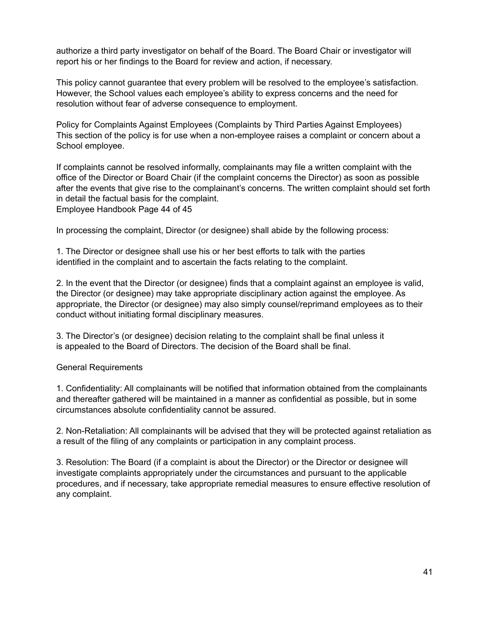authorize a third party investigator on behalf of the Board. The Board Chair or investigator will report his or her findings to the Board for review and action, if necessary.

This policy cannot guarantee that every problem will be resolved to the employee's satisfaction. However, the School values each employee's ability to express concerns and the need for resolution without fear of adverse consequence to employment.

Policy for Complaints Against Employees (Complaints by Third Parties Against Employees) This section of the policy is for use when a non-employee raises a complaint or concern about a School employee.

If complaints cannot be resolved informally, complainants may file a written complaint with the office of the Director or Board Chair (if the complaint concerns the Director) as soon as possible after the events that give rise to the complainant's concerns. The written complaint should set forth in detail the factual basis for the complaint. Employee Handbook Page 44 of 45

In processing the complaint, Director (or designee) shall abide by the following process:

1. The Director or designee shall use his or her best efforts to talk with the parties identified in the complaint and to ascertain the facts relating to the complaint.

2. In the event that the Director (or designee) finds that a complaint against an employee is valid, the Director (or designee) may take appropriate disciplinary action against the employee. As appropriate, the Director (or designee) may also simply counsel/reprimand employees as to their conduct without initiating formal disciplinary measures.

3. The Director's (or designee) decision relating to the complaint shall be final unless it is appealed to the Board of Directors. The decision of the Board shall be final.

#### General Requirements

1. Confidentiality: All complainants will be notified that information obtained from the complainants and thereafter gathered will be maintained in a manner as confidential as possible, but in some circumstances absolute confidentiality cannot be assured.

2. Non-Retaliation: All complainants will be advised that they will be protected against retaliation as a result of the filing of any complaints or participation in any complaint process.

3. Resolution: The Board (if a complaint is about the Director) or the Director or designee will investigate complaints appropriately under the circumstances and pursuant to the applicable procedures, and if necessary, take appropriate remedial measures to ensure effective resolution of any complaint.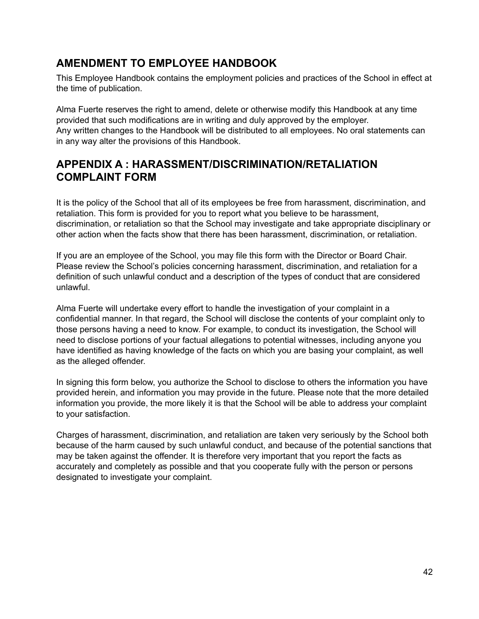# <span id="page-42-0"></span>**AMENDMENT TO EMPLOYEE HANDBOOK**

This Employee Handbook contains the employment policies and practices of the School in effect at the time of publication.

Alma Fuerte reserves the right to amend, delete or otherwise modify this Handbook at any time provided that such modifications are in writing and duly approved by the employer. Any written changes to the Handbook will be distributed to all employees. No oral statements can in any way alter the provisions of this Handbook.

# <span id="page-42-1"></span>**APPENDIX A : HARASSMENT/DISCRIMINATION/RETALIATION COMPLAINT FORM**

It is the policy of the School that all of its employees be free from harassment, discrimination, and retaliation. This form is provided for you to report what you believe to be harassment, discrimination, or retaliation so that the School may investigate and take appropriate disciplinary or other action when the facts show that there has been harassment, discrimination, or retaliation.

If you are an employee of the School, you may file this form with the Director or Board Chair. Please review the School's policies concerning harassment, discrimination, and retaliation for a definition of such unlawful conduct and a description of the types of conduct that are considered unlawful.

Alma Fuerte will undertake every effort to handle the investigation of your complaint in a confidential manner. In that regard, the School will disclose the contents of your complaint only to those persons having a need to know. For example, to conduct its investigation, the School will need to disclose portions of your factual allegations to potential witnesses, including anyone you have identified as having knowledge of the facts on which you are basing your complaint, as well as the alleged offender.

In signing this form below, you authorize the School to disclose to others the information you have provided herein, and information you may provide in the future. Please note that the more detailed information you provide, the more likely it is that the School will be able to address your complaint to your satisfaction.

<span id="page-42-2"></span>Charges of harassment, discrimination, and retaliation are taken very seriously by the School both because of the harm caused by such unlawful conduct, and because of the potential sanctions that may be taken against the offender. It is therefore very important that you report the facts as accurately and completely as possible and that you cooperate fully with the person or persons designated to investigate your complaint.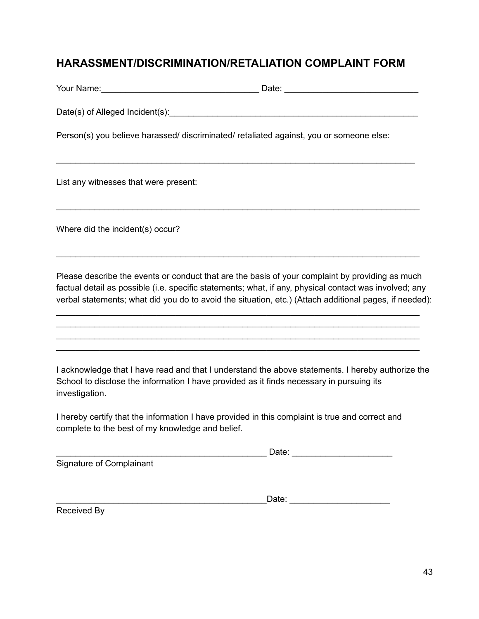## **HARASSMENT/DISCRIMINATION/RETALIATION COMPLAINT FORM**

| Your Name: | Date: |  |
|------------|-------|--|
|            |       |  |

\_\_\_\_\_\_\_\_\_\_\_\_\_\_\_\_\_\_\_\_\_\_\_\_\_\_\_\_\_\_\_\_\_\_\_\_\_\_\_\_\_\_\_\_\_\_\_\_\_\_\_\_\_\_\_\_\_\_\_\_\_\_\_\_\_\_\_\_\_\_\_\_\_\_\_

\_\_\_\_\_\_\_\_\_\_\_\_\_\_\_\_\_\_\_\_\_\_\_\_\_\_\_\_\_\_\_\_\_\_\_\_\_\_\_\_\_\_\_\_\_\_\_\_\_\_\_\_\_\_\_\_\_\_\_\_\_\_\_\_\_\_\_\_\_\_\_\_\_\_\_\_

\_\_\_\_\_\_\_\_\_\_\_\_\_\_\_\_\_\_\_\_\_\_\_\_\_\_\_\_\_\_\_\_\_\_\_\_\_\_\_\_\_\_\_\_\_\_\_\_\_\_\_\_\_\_\_\_\_\_\_\_\_\_\_\_\_\_\_\_\_\_\_\_\_\_\_\_

Date(s) of Alleged Incident(s): Date and the set of  $\mathcal{L}$  and  $\mathcal{L}$  and  $\mathcal{L}$  and  $\mathcal{L}$  and  $\mathcal{L}$  and  $\mathcal{L}$  and  $\mathcal{L}$  and  $\mathcal{L}$  and  $\mathcal{L}$  and  $\mathcal{L}$  and  $\mathcal{L}$  and  $\mathcal{L}$  and  $\mathcal{L}$  and

Person(s) you believe harassed/ discriminated/ retaliated against, you or someone else:

List any witnesses that were present:

Where did the incident(s) occur?

Please describe the events or conduct that are the basis of your complaint by providing as much factual detail as possible (i.e. specific statements; what, if any, physical contact was involved; any verbal statements; what did you do to avoid the situation, etc.) (Attach additional pages, if needed):

\_\_\_\_\_\_\_\_\_\_\_\_\_\_\_\_\_\_\_\_\_\_\_\_\_\_\_\_\_\_\_\_\_\_\_\_\_\_\_\_\_\_\_\_\_\_\_\_\_\_\_\_\_\_\_\_\_\_\_\_\_\_\_\_\_\_\_\_\_\_\_\_\_\_\_\_ \_\_\_\_\_\_\_\_\_\_\_\_\_\_\_\_\_\_\_\_\_\_\_\_\_\_\_\_\_\_\_\_\_\_\_\_\_\_\_\_\_\_\_\_\_\_\_\_\_\_\_\_\_\_\_\_\_\_\_\_\_\_\_\_\_\_\_\_\_\_\_\_\_\_\_\_ \_\_\_\_\_\_\_\_\_\_\_\_\_\_\_\_\_\_\_\_\_\_\_\_\_\_\_\_\_\_\_\_\_\_\_\_\_\_\_\_\_\_\_\_\_\_\_\_\_\_\_\_\_\_\_\_\_\_\_\_\_\_\_\_\_\_\_\_\_\_\_\_\_\_\_\_ \_\_\_\_\_\_\_\_\_\_\_\_\_\_\_\_\_\_\_\_\_\_\_\_\_\_\_\_\_\_\_\_\_\_\_\_\_\_\_\_\_\_\_\_\_\_\_\_\_\_\_\_\_\_\_\_\_\_\_\_\_\_\_\_\_\_\_\_\_\_\_\_\_\_\_\_

I acknowledge that I have read and that I understand the above statements. I hereby authorize the School to disclose the information I have provided as it finds necessary in pursuing its investigation.

I hereby certify that the information I have provided in this complaint is true and correct and complete to the best of my knowledge and belief.

\_\_\_\_\_\_\_\_\_\_\_\_\_\_\_\_\_\_\_\_\_\_\_\_\_\_\_\_\_\_\_\_\_\_\_\_\_\_\_\_\_\_\_\_ Date: \_\_\_\_\_\_\_\_\_\_\_\_\_\_\_\_\_\_\_\_\_

Signature of Complainant

 $\blacksquare$   $\blacksquare$   $\blacksquare$   $\blacksquare$   $\blacksquare$   $\blacksquare$   $\blacksquare$   $\blacksquare$   $\blacksquare$   $\blacksquare$   $\blacksquare$   $\blacksquare$   $\blacksquare$   $\blacksquare$   $\blacksquare$   $\blacksquare$   $\blacksquare$   $\blacksquare$   $\blacksquare$   $\blacksquare$   $\blacksquare$   $\blacksquare$   $\blacksquare$   $\blacksquare$   $\blacksquare$   $\blacksquare$   $\blacksquare$   $\blacksquare$   $\blacksquare$   $\blacksquare$   $\blacksquare$   $\blacks$ 

Received By